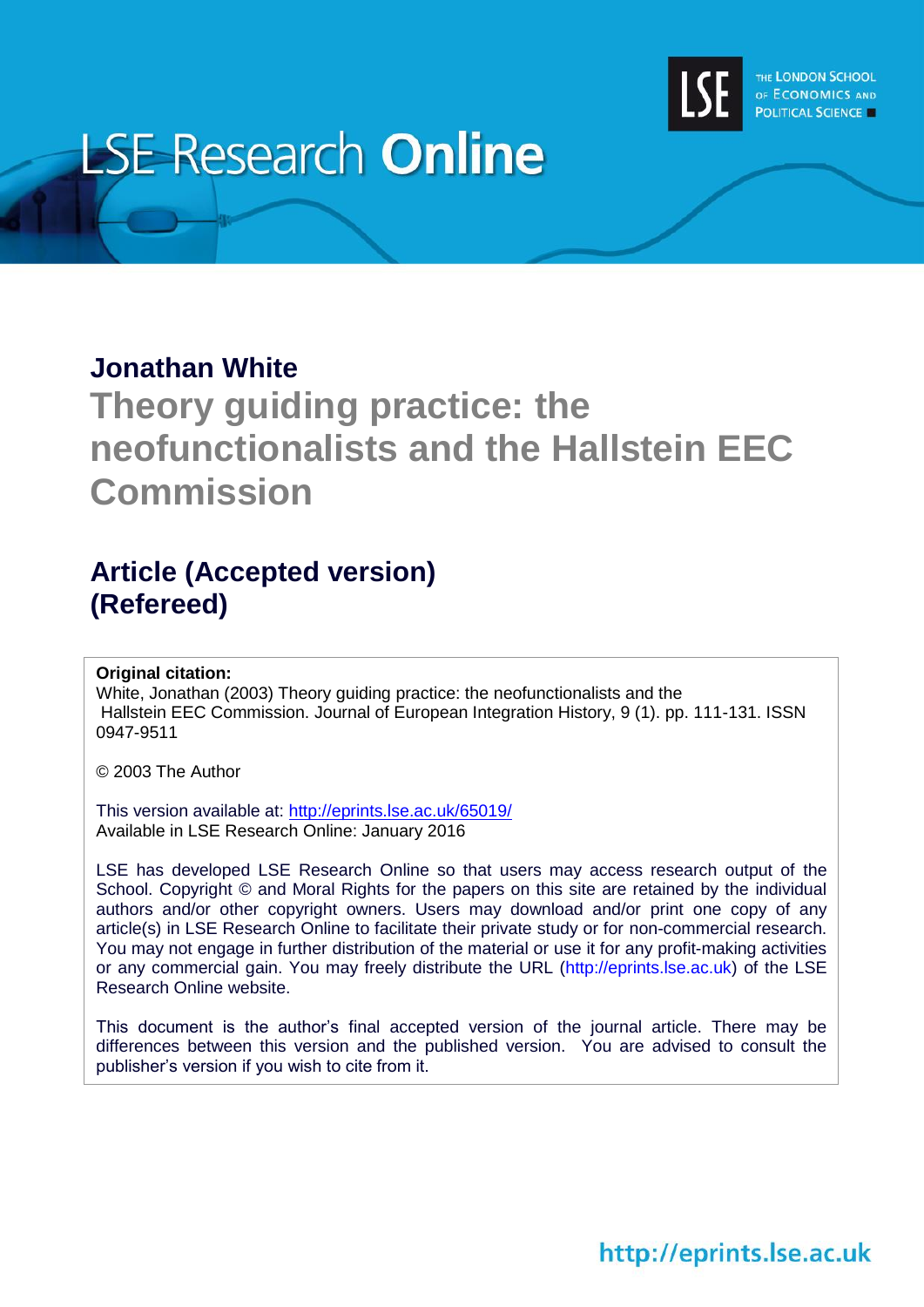

# **LSE Research Online**

### **Jonathan White**

# **Theory guiding practice: the neofunctionalists and the Hallstein EEC Commission**

## **Article (Accepted version) (Refereed)**

#### **Original citation:**

White, Jonathan (2003) Theory guiding practice: the neofunctionalists and the Hallstein EEC Commission. Journal of European Integration History, 9 (1). pp. 111-131. ISSN 0947-9511

© 2003 The Author

This version available at:<http://eprints.lse.ac.uk/65019/> Available in LSE Research Online: January 2016

LSE has developed LSE Research Online so that users may access research output of the School. Copyright © and Moral Rights for the papers on this site are retained by the individual authors and/or other copyright owners. Users may download and/or print one copy of any article(s) in LSE Research Online to facilitate their private study or for non-commercial research. You may not engage in further distribution of the material or use it for any profit-making activities or any commercial gain. You may freely distribute the URL (http://eprints.lse.ac.uk) of the LSE Research Online website.

This document is the author's final accepted version of the journal article. There may be differences between this version and the published version. You are advised to consult the publisher's version if you wish to cite from it.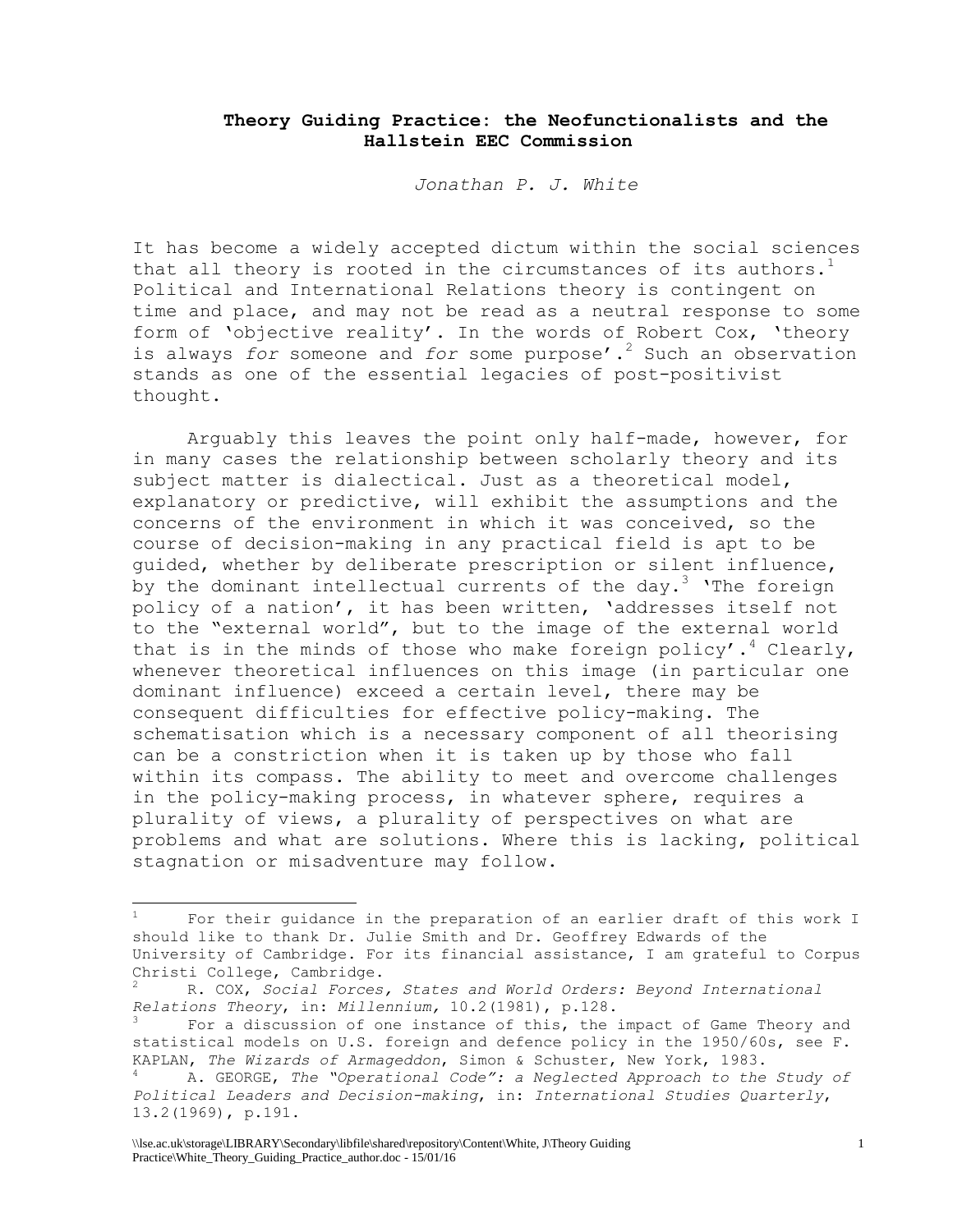#### **Theory Guiding Practice: the Neofunctionalists and the Hallstein EEC Commission**

*Jonathan P. J. White*

It has become a widely accepted dictum within the social sciences that all theory is rooted in the circumstances of its authors.<sup>1</sup> Political and International Relations theory is contingent on time and place, and may not be read as a neutral response to some form of 'objective reality'. In the words of Robert Cox, 'theory is always *for* someone and *for* some purpose'.<sup>2</sup> Such an observation stands as one of the essential legacies of post-positivist thought.

Arguably this leaves the point only half-made, however, for in many cases the relationship between scholarly theory and its subject matter is dialectical. Just as a theoretical model, explanatory or predictive, will exhibit the assumptions and the concerns of the environment in which it was conceived, so the course of decision-making in any practical field is apt to be guided, whether by deliberate prescription or silent influence, by the dominant intellectual currents of the day.<sup>3</sup> 'The foreign policy of a nation', it has been written, 'addresses itself not to the "external world", but to the image of the external world that is in the minds of those who make foreign policy'.<sup>4</sup> Clearly, whenever theoretical influences on this image (in particular one dominant influence) exceed a certain level, there may be consequent difficulties for effective policy-making. The schematisation which is a necessary component of all theorising can be a constriction when it is taken up by those who fall within its compass. The ability to meet and overcome challenges in the policy-making process, in whatever sphere, requires a plurality of views, a plurality of perspectives on what are problems and what are solutions. Where this is lacking, political stagnation or misadventure may follow.

For their quidance in the preparation of an earlier draft of this work I should like to thank Dr. Julie Smith and Dr. Geoffrey Edwards of the University of Cambridge. For its financial assistance, I am grateful to Corpus Christi College, Cambridge.

<sup>2</sup> R. COX, *Social Forces, States and World Orders: Beyond International Relations Theory*, in: *Millennium,* 10.2(1981), p.128.

For a discussion of one instance of this, the impact of Game Theory and statistical models on U.S. foreign and defence policy in the 1950/60s, see F. KAPLAN, *The Wizards of Armageddon*, Simon & Schuster, New York, 1983.

<sup>4</sup> A. GEORGE, *The "Operational Code": a Neglected Approach to the Study of Political Leaders and Decision-making*, in: *International Studies Quarterly*, 13.2(1969), p.191.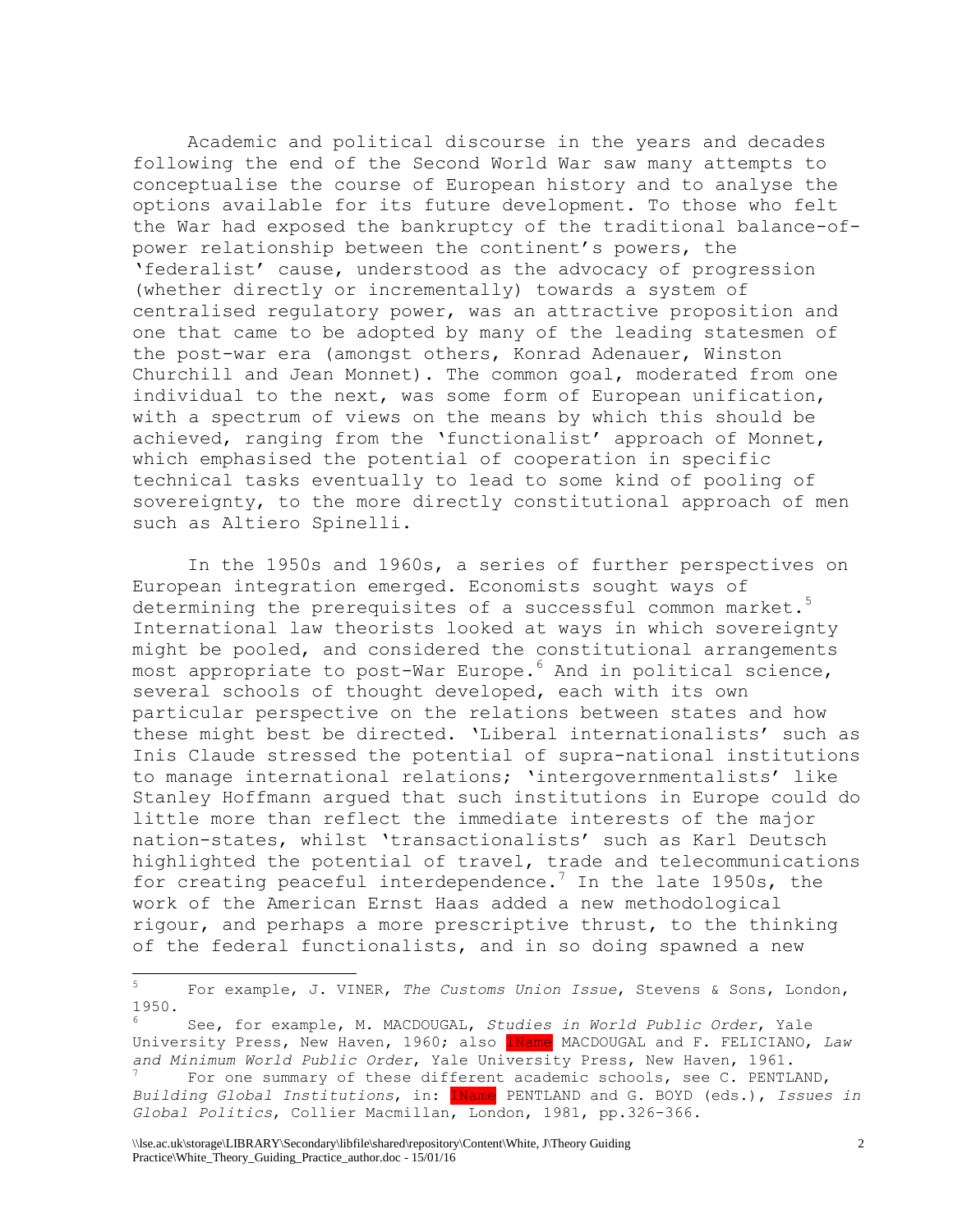Academic and political discourse in the years and decades following the end of the Second World War saw many attempts to conceptualise the course of European history and to analyse the options available for its future development. To those who felt the War had exposed the bankruptcy of the traditional balance-ofpower relationship between the continent's powers, the 'federalist' cause, understood as the advocacy of progression (whether directly or incrementally) towards a system of centralised regulatory power, was an attractive proposition and one that came to be adopted by many of the leading statesmen of the post-war era (amongst others, Konrad Adenauer, Winston Churchill and Jean Monnet). The common goal, moderated from one individual to the next, was some form of European unification, with a spectrum of views on the means by which this should be achieved, ranging from the 'functionalist' approach of Monnet, which emphasised the potential of cooperation in specific technical tasks eventually to lead to some kind of pooling of sovereignty, to the more directly constitutional approach of men such as Altiero Spinelli.

In the 1950s and 1960s, a series of further perspectives on European integration emerged. Economists sought ways of determining the prerequisites of a successful common market.<sup>5</sup> International law theorists looked at ways in which sovereignty might be pooled, and considered the constitutional arrangements most appropriate to post-War Europe.<sup>6</sup> And in political science, several schools of thought developed, each with its own particular perspective on the relations between states and how these might best be directed. 'Liberal internationalists' such as Inis Claude stressed the potential of supra-national institutions to manage international relations; 'intergovernmentalists' like Stanley Hoffmann argued that such institutions in Europe could do little more than reflect the immediate interests of the major nation-states, whilst 'transactionalists' such as Karl Deutsch highlighted the potential of travel, trade and telecommunications for creating peaceful interdependence.<sup>7</sup> In the late 1950s, the work of the American Ernst Haas added a new methodological rigour, and perhaps a more prescriptive thrust, to the thinking of the federal functionalists, and in so doing spawned a new

<sup>5</sup> For example, J. VINER, *The Customs Union Issue*, Stevens & Sons, London, 1950.

<sup>6</sup> See, for example, M. MACDOUGAL, *Studies in World Public Order*, Yale University Press, New Haven, 1960; also 1Name MACDOUGAL and F. FELICIANO, *Law and Minimum World Public Order*, Yale University Press, New Haven, 1961.

For one summary of these different academic schools, see C. PENTLAND, *Building Global Institutions*, in: 1Name PENTLAND and G. BOYD (eds.), *Issues in Global Politics*, Collier Macmillan, London, 1981, pp.326-366.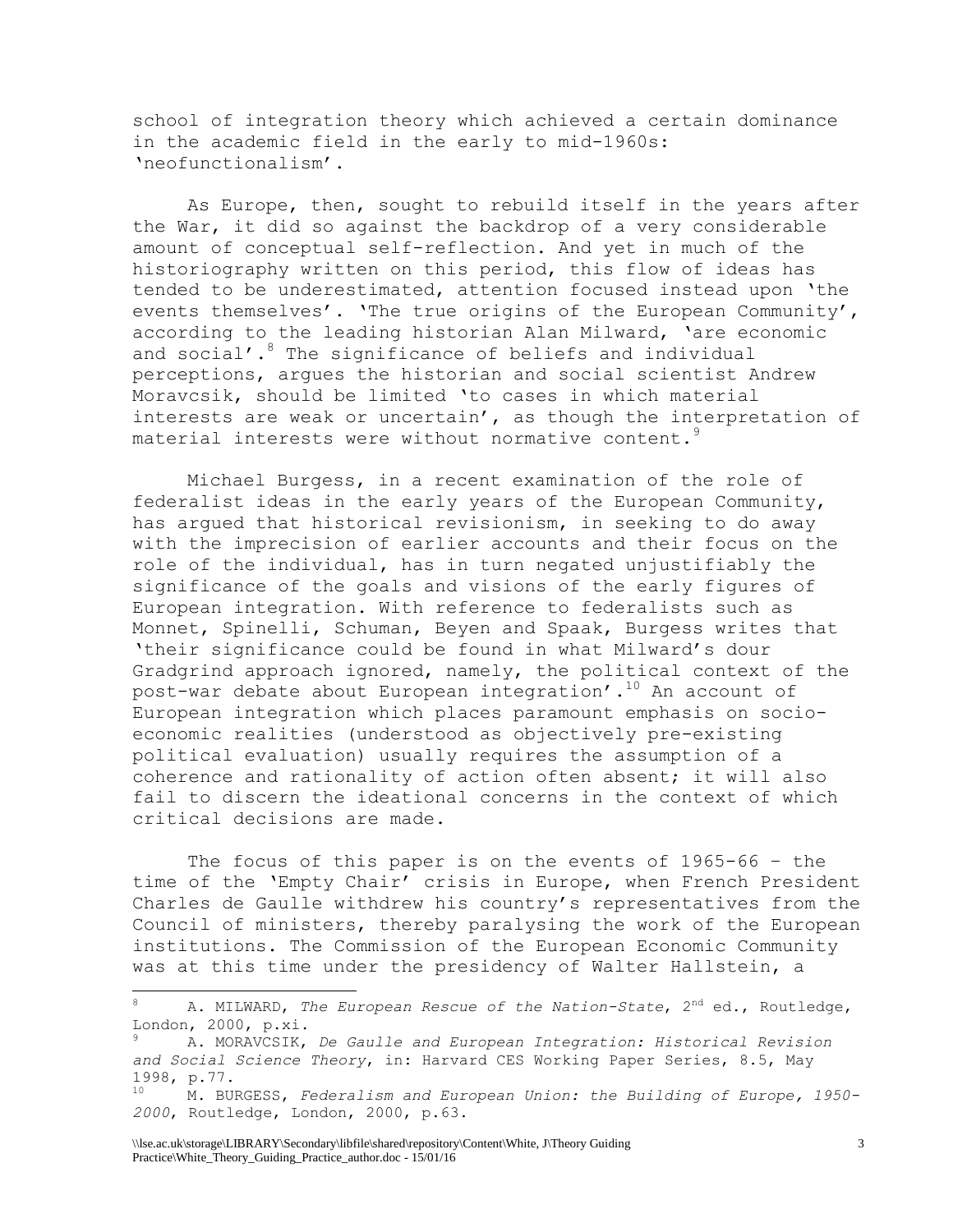school of integration theory which achieved a certain dominance in the academic field in the early to mid-1960s: 'neofunctionalism'.

As Europe, then, sought to rebuild itself in the years after the War, it did so against the backdrop of a very considerable amount of conceptual self-reflection. And yet in much of the historiography written on this period, this flow of ideas has tended to be underestimated, attention focused instead upon 'the events themselves'. 'The true origins of the European Community', according to the leading historian Alan Milward, 'are economic and social'.<sup>8</sup> The significance of beliefs and individual perceptions, argues the historian and social scientist Andrew Moravcsik, should be limited 'to cases in which material interests are weak or uncertain', as though the interpretation of material interests were without normative content.<sup>9</sup>

Michael Burgess, in a recent examination of the role of federalist ideas in the early years of the European Community, has argued that historical revisionism, in seeking to do away with the imprecision of earlier accounts and their focus on the role of the individual, has in turn negated unjustifiably the significance of the goals and visions of the early figures of European integration. With reference to federalists such as Monnet, Spinelli, Schuman, Beyen and Spaak, Burgess writes that 'their significance could be found in what Milward's dour Gradgrind approach ignored, namely, the political context of the post-war debate about European integration'.<sup>10</sup> An account of European integration which places paramount emphasis on socioeconomic realities (understood as objectively pre-existing political evaluation) usually requires the assumption of a coherence and rationality of action often absent; it will also fail to discern the ideational concerns in the context of which critical decisions are made.

The focus of this paper is on the events of 1965-66 – the time of the 'Empty Chair' crisis in Europe, when French President Charles de Gaulle withdrew his country's representatives from the Council of ministers, thereby paralysing the work of the European institutions. The Commission of the European Economic Community was at this time under the presidency of Walter Hallstein, a

<sup>8</sup> A. MILWARD, *The European Rescue of the Nation-State*, 2nd ed., Routledge, London, 2000, p.xi.

<sup>9</sup> A. MORAVCSIK, *De Gaulle and European Integration: Historical Revision and Social Science Theory*, in: Harvard CES Working Paper Series, 8.5, May  $1998, p.77.$ 

<sup>10</sup> M. BURGESS, *Federalism and European Union: the Building of Europe, 1950- 2000*, Routledge, London, 2000, p.63.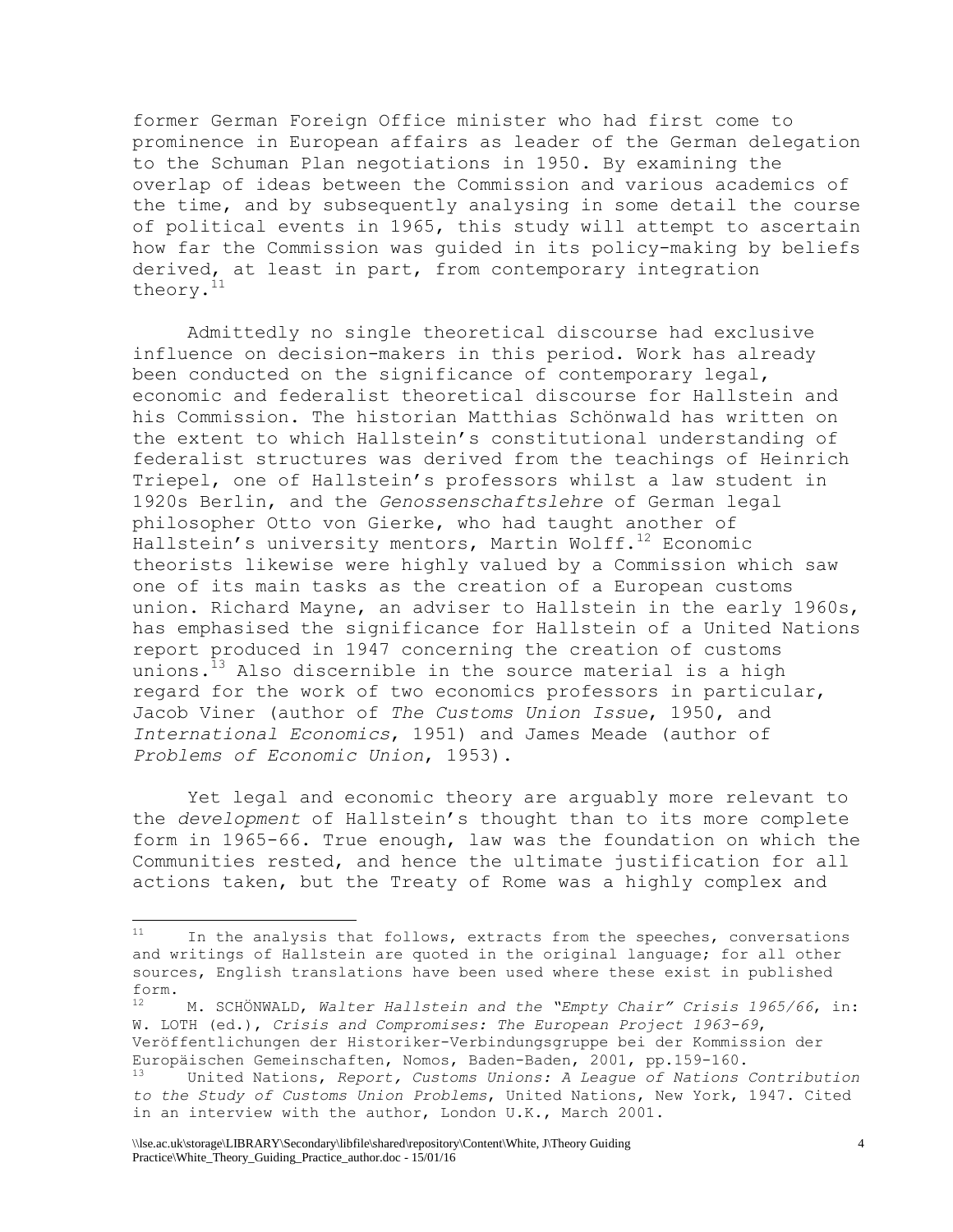former German Foreign Office minister who had first come to prominence in European affairs as leader of the German delegation to the Schuman Plan negotiations in 1950. By examining the overlap of ideas between the Commission and various academics of the time, and by subsequently analysing in some detail the course of political events in 1965, this study will attempt to ascertain how far the Commission was guided in its policy-making by beliefs derived, at least in part, from contemporary integration theory.<sup>11</sup>

Admittedly no single theoretical discourse had exclusive influence on decision-makers in this period. Work has already been conducted on the significance of contemporary legal, economic and federalist theoretical discourse for Hallstein and his Commission. The historian Matthias Schönwald has written on the extent to which Hallstein's constitutional understanding of federalist structures was derived from the teachings of Heinrich Triepel, one of Hallstein's professors whilst a law student in 1920s Berlin, and the *Genossenschaftslehre* of German legal philosopher Otto von Gierke, who had taught another of Hallstein's university mentors, Martin Wolff. $12$  Economic theorists likewise were highly valued by a Commission which saw one of its main tasks as the creation of a European customs union. Richard Mayne, an adviser to Hallstein in the early 1960s, has emphasised the significance for Hallstein of a United Nations report produced in 1947 concerning the creation of customs unions.<sup>13</sup> Also discernible in the source material is a high regard for the work of two economics professors in particular, Jacob Viner (author of *The Customs Union Issue*, 1950, and *International Economics*, 1951) and James Meade (author of *Problems of Economic Union*, 1953).

Yet legal and economic theory are arguably more relevant to the *development* of Hallstein's thought than to its more complete form in 1965-66. True enough, law was the foundation on which the Communities rested, and hence the ultimate justification for all actions taken, but the Treaty of Rome was a highly complex and

 $11$ <sup>11</sup> In the analysis that follows, extracts from the speeches, conversations and writings of Hallstein are quoted in the original language; for all other sources, English translations have been used where these exist in published form.

<sup>12</sup> M. SCHÖNWALD, *Walter Hallstein and the "Empty Chair" Crisis 1965/66*, in: W. LOTH (ed.), *Crisis and Compromises: The European Project 1963-69*, Veröffentlichungen der Historiker-Verbindungsgruppe bei der Kommission der Europäischen Gemeinschaften, Nomos, Baden-Baden, 2001, pp.159-160.

<sup>13</sup> United Nations, *Report, Customs Unions: A League of Nations Contribution to the Study of Customs Union Problems*, United Nations, New York, 1947. Cited in an interview with the author, London U.K., March 2001.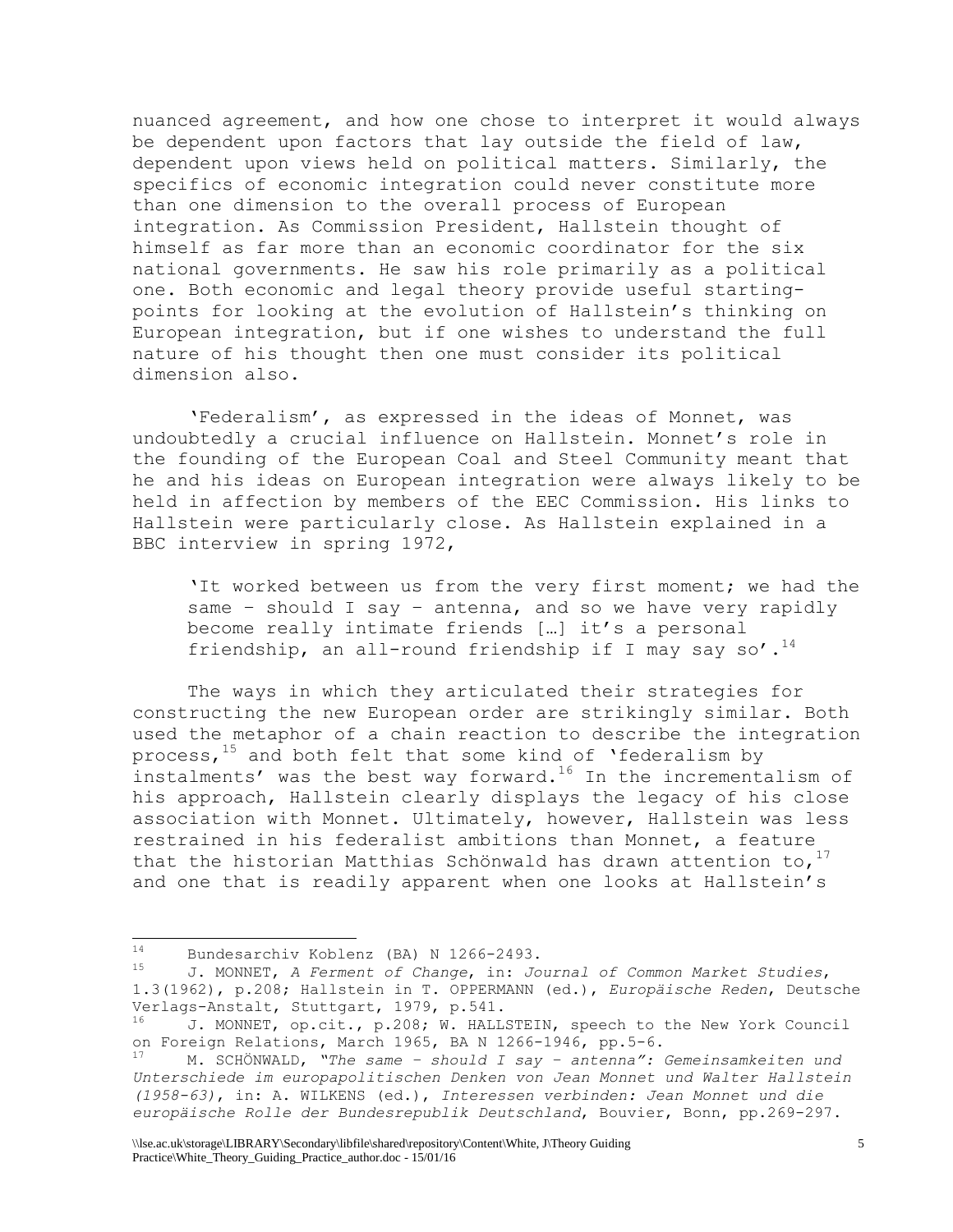nuanced agreement, and how one chose to interpret it would always be dependent upon factors that lay outside the field of law, dependent upon views held on political matters. Similarly, the specifics of economic integration could never constitute more than one dimension to the overall process of European integration. As Commission President, Hallstein thought of himself as far more than an economic coordinator for the six national governments. He saw his role primarily as a political one. Both economic and legal theory provide useful startingpoints for looking at the evolution of Hallstein's thinking on European integration, but if one wishes to understand the full nature of his thought then one must consider its political dimension also.

'Federalism', as expressed in the ideas of Monnet, was undoubtedly a crucial influence on Hallstein. Monnet's role in the founding of the European Coal and Steel Community meant that he and his ideas on European integration were always likely to be held in affection by members of the EEC Commission. His links to Hallstein were particularly close. As Hallstein explained in a BBC interview in spring 1972,

'It worked between us from the very first moment; we had the same – should I say – antenna, and so we have very rapidly become really intimate friends […] it's a personal friendship, an all-round friendship if I may say so'.<sup>14</sup>

The ways in which they articulated their strategies for constructing the new European order are strikingly similar. Both used the metaphor of a chain reaction to describe the integration process, $15$  and both felt that some kind of 'federalism by instalments' was the best way forward.<sup>16</sup> In the incrementalism of his approach, Hallstein clearly displays the legacy of his close association with Monnet. Ultimately, however, Hallstein was less restrained in his federalist ambitions than Monnet, a feature that the historian Matthias Schönwald has drawn attention to,  $17$ and one that is readily apparent when one looks at Hallstein's

 $14$ 14 Bundesarchiv Koblenz (BA) N 1266-2493.<br>15 J MONNET A Formant of Change in: Jo

<sup>15</sup> J. MONNET, *A Ferment of Change*, in: *Journal of Common Market Studies*, 1.3(1962), p.208; Hallstein in T. OPPERMANN (ed.), *Europäische Reden*, Deutsche Verlags-Anstalt, Stuttgart, 1979, p.541.

 $16$  J. MONNET, op.cit., p.208; W. HALLSTEIN, speech to the New York Council on Foreign Relations, March 1965, BA N 1266-1946, pp.5-6.

<sup>17</sup> M. SCHÖNWALD, *"The same – should I say – antenna": Gemeinsamkeiten und Unterschiede im europapolitischen Denken von Jean Monnet und Walter Hallstein (1958-63)*, in: A. WILKENS (ed.), *Interessen verbinden: Jean Monnet und die europäische Rolle der Bundesrepublik Deutschland*, Bouvier, Bonn, pp.269-297.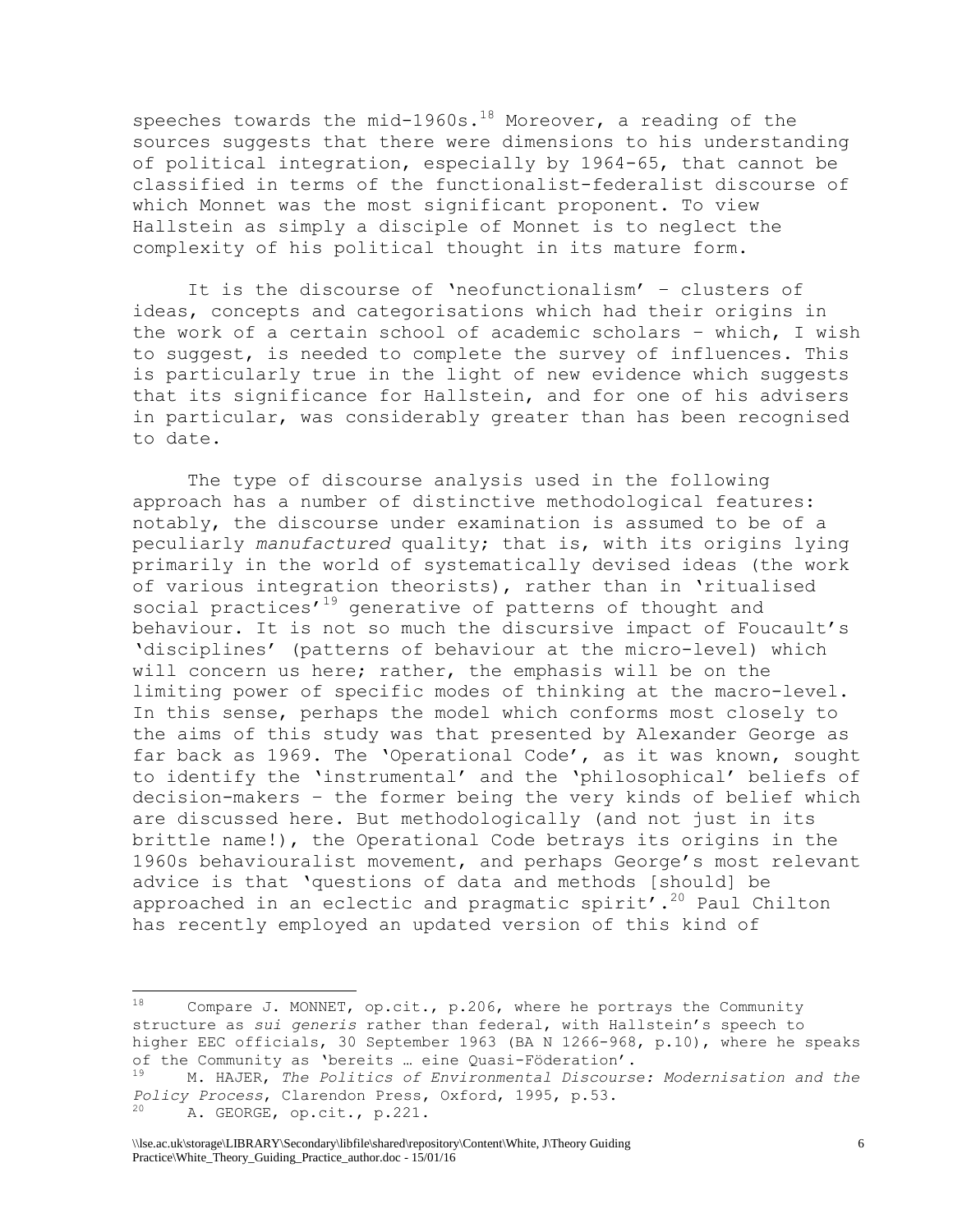speeches towards the mid-1960s.<sup>18</sup> Moreover, a reading of the sources suggests that there were dimensions to his understanding of political integration, especially by 1964-65, that cannot be classified in terms of the functionalist-federalist discourse of which Monnet was the most significant proponent. To view Hallstein as simply a disciple of Monnet is to neglect the complexity of his political thought in its mature form.

It is the discourse of 'neofunctionalism' – clusters of ideas, concepts and categorisations which had their origins in the work of a certain school of academic scholars – which, I wish to suggest, is needed to complete the survey of influences. This is particularly true in the light of new evidence which suggests that its significance for Hallstein, and for one of his advisers in particular, was considerably greater than has been recognised to date.

The type of discourse analysis used in the following approach has a number of distinctive methodological features: notably, the discourse under examination is assumed to be of a peculiarly *manufactured* quality; that is, with its origins lying primarily in the world of systematically devised ideas (the work of various integration theorists), rather than in 'ritualised social practices'<sup>19</sup> generative of patterns of thought and behaviour. It is not so much the discursive impact of Foucault's 'disciplines' (patterns of behaviour at the micro-level) which will concern us here; rather, the emphasis will be on the limiting power of specific modes of thinking at the macro-level. In this sense, perhaps the model which conforms most closely to the aims of this study was that presented by Alexander George as far back as 1969. The 'Operational Code', as it was known, sought to identify the 'instrumental' and the 'philosophical' beliefs of decision-makers – the former being the very kinds of belief which are discussed here. But methodologically (and not just in its brittle name!), the Operational Code betrays its origins in the 1960s behaviouralist movement, and perhaps George's most relevant advice is that 'questions of data and methods [should] be approached in an eclectic and pragmatic spirit'.<sup>20</sup> Paul Chilton has recently employed an updated version of this kind of

Compare J. MONNET, op.cit., p.206, where he portrays the Community structure as *sui generis* rather than federal, with Hallstein's speech to higher EEC officials, 30 September 1963 (BA N 1266-968, p.10), where he speaks of the Community as 'bereits … eine Quasi-Föderation'.

<sup>19</sup> M. HAJER, *The Politics of Environmental Discourse: Modernisation and the Policy Process*, Clarendon Press, Oxford, 1995, p.53. A. GEORGE, op.cit., p.221.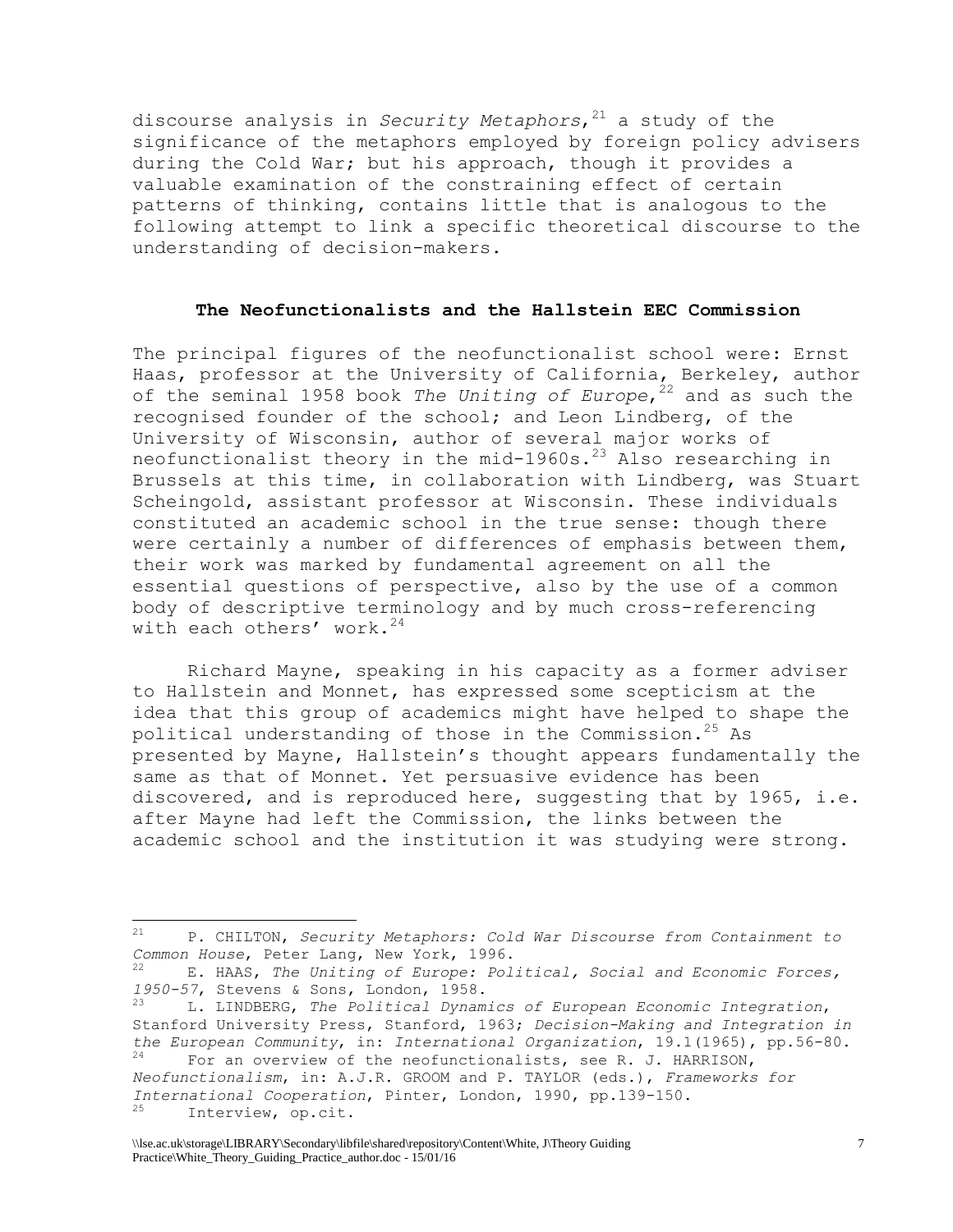discourse analysis in *Security Metaphors*, <sup>21</sup> a study of the significance of the metaphors employed by foreign policy advisers during the Cold War; but his approach, though it provides a valuable examination of the constraining effect of certain patterns of thinking, contains little that is analogous to the following attempt to link a specific theoretical discourse to the understanding of decision-makers.

#### **The Neofunctionalists and the Hallstein EEC Commission**

The principal figures of the neofunctionalist school were: Ernst Haas, professor at the University of California, Berkeley, author of the seminal 1958 book *The Uniting of Europe*, <sup>22</sup> and as such the recognised founder of the school; and Leon Lindberg, of the University of Wisconsin, author of several major works of neofunctionalist theory in the mid-1960s.<sup>23</sup> Also researching in Brussels at this time, in collaboration with Lindberg, was Stuart Scheingold, assistant professor at Wisconsin. These individuals constituted an academic school in the true sense: though there were certainly a number of differences of emphasis between them, their work was marked by fundamental agreement on all the essential questions of perspective, also by the use of a common body of descriptive terminology and by much cross-referencing with each others' work. $24$ 

Richard Mayne, speaking in his capacity as a former adviser to Hallstein and Monnet, has expressed some scepticism at the idea that this group of academics might have helped to shape the political understanding of those in the Commission.<sup>25</sup> As presented by Mayne, Hallstein's thought appears fundamentally the same as that of Monnet. Yet persuasive evidence has been discovered, and is reproduced here, suggesting that by 1965, i.e. after Mayne had left the Commission, the links between the academic school and the institution it was studying were strong.

<sup>21</sup> P. CHILTON, *Security Metaphors: Cold War Discourse from Containment to Common House*, Peter Lang, New York, 1996.

<sup>22</sup> E. HAAS, *The Uniting of Europe: Political, Social and Economic Forces, 1950-57*, Stevens & Sons, London, 1958.

<sup>23</sup> L. LINDBERG, *The Political Dynamics of European Economic Integration*, Stanford University Press, Stanford, 1963; *Decision-Making and Integration in the European Community*, in: *International Organization*, 19.1(1965), pp.56-80. For an overview of the neofunctionalists, see R. J. HARRISON,

*Neofunctionalism*, in: A.J.R. GROOM and P. TAYLOR (eds.), *Frameworks for International Cooperation*, Pinter, London, 1990, pp.139-150. Interview, op.cit.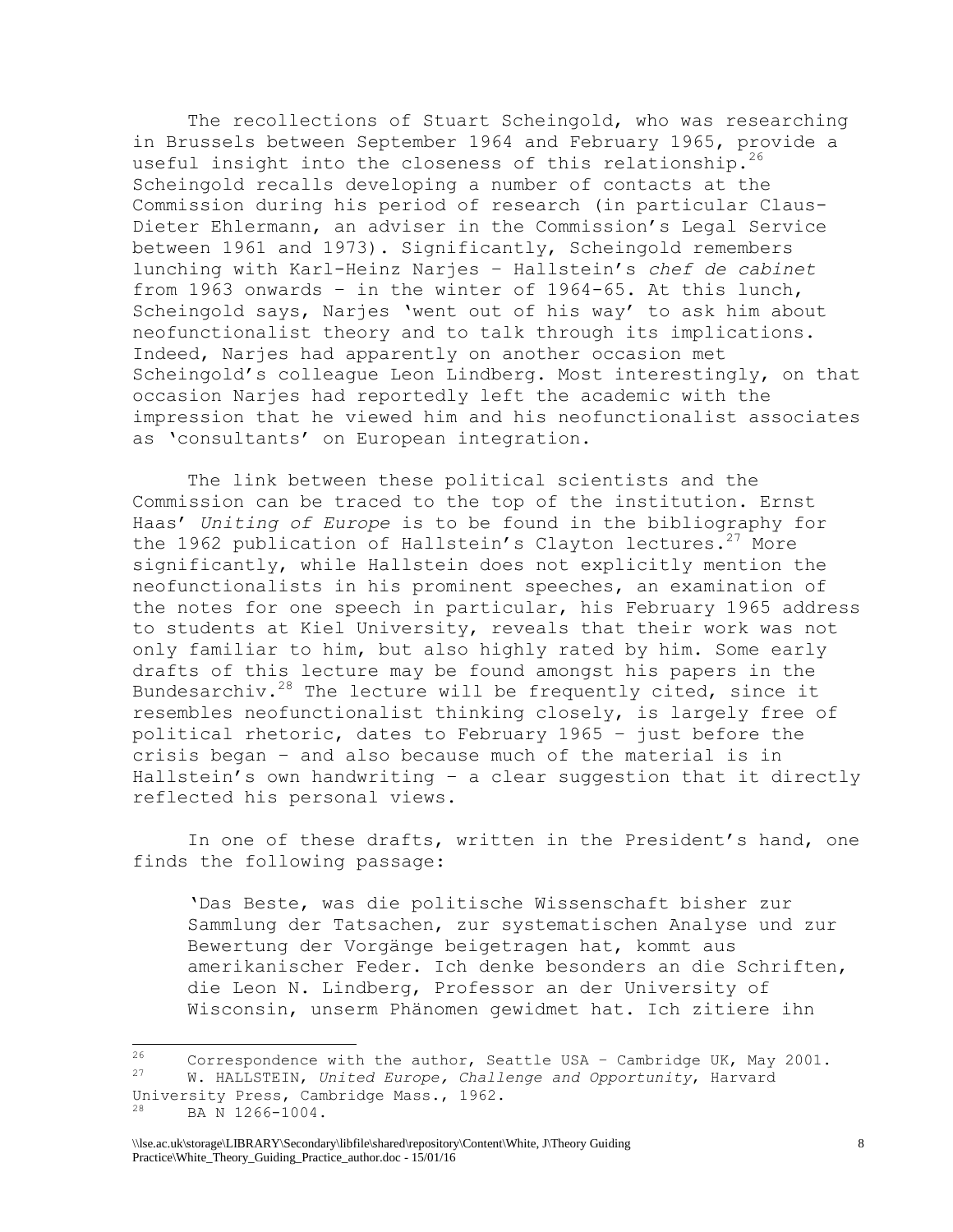The recollections of Stuart Scheingold, who was researching in Brussels between September 1964 and February 1965, provide a useful insight into the closeness of this relationship.<sup>26</sup> Scheingold recalls developing a number of contacts at the Commission during his period of research (in particular Claus-Dieter Ehlermann, an adviser in the Commission's Legal Service between 1961 and 1973). Significantly, Scheingold remembers lunching with Karl-Heinz Narjes – Hallstein's *chef de cabinet* from 1963 onwards – in the winter of 1964-65. At this lunch, Scheingold says, Narjes 'went out of his way' to ask him about neofunctionalist theory and to talk through its implications. Indeed, Narjes had apparently on another occasion met Scheingold's colleague Leon Lindberg. Most interestingly, on that occasion Narjes had reportedly left the academic with the impression that he viewed him and his neofunctionalist associates as 'consultants' on European integration.

The link between these political scientists and the Commission can be traced to the top of the institution. Ernst Haas' *Uniting of Europe* is to be found in the bibliography for the 1962 publication of Hallstein's Clayton lectures.<sup>27</sup> More significantly, while Hallstein does not explicitly mention the neofunctionalists in his prominent speeches, an examination of the notes for one speech in particular, his February 1965 address to students at Kiel University, reveals that their work was not only familiar to him, but also highly rated by him. Some early drafts of this lecture may be found amongst his papers in the Bundesarchiv.<sup>28</sup> The lecture will be frequently cited, since it resembles neofunctionalist thinking closely, is largely free of political rhetoric, dates to February 1965 – just before the crisis began – and also because much of the material is in Hallstein's own handwriting – a clear suggestion that it directly reflected his personal views.

In one of these drafts, written in the President's hand, one finds the following passage:

'Das Beste, was die politische Wissenschaft bisher zur Sammlung der Tatsachen, zur systematischen Analyse und zur Bewertung der Vorgänge beigetragen hat, kommt aus amerikanischer Feder. Ich denke besonders an die Schriften, die Leon N. Lindberg, Professor an der University of Wisconsin, unserm Phänomen gewidmet hat. Ich zitiere ihn

 $26$  $\frac{26}{27}$  Correspondence with the author, Seattle USA - Cambridge UK, May 2001. <sup>27</sup> W. HALLSTEIN, *United Europe, Challenge and Opportunity*, Harvard University Press, Cambridge Mass., 1962.

<sup>28</sup> BA N 1266-1004.

<sup>\\</sup>lse.ac.uk\storage\LIBRARY\Secondary\libfile\shared\repository\Content\White, J\Theory Guiding Practice\White\_Theory\_Guiding\_Practice\_author.doc - 15/01/16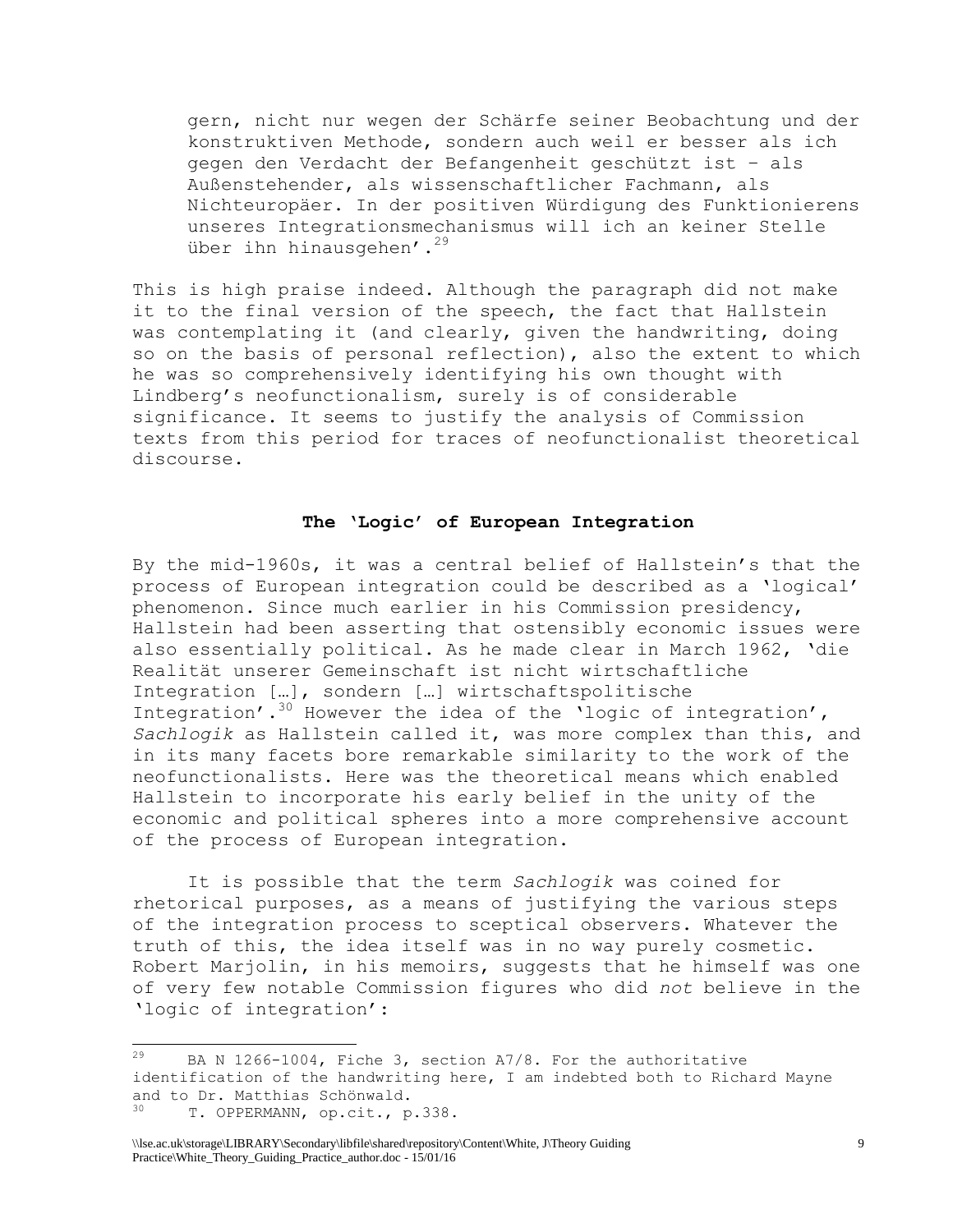gern, nicht nur wegen der Schärfe seiner Beobachtung und der konstruktiven Methode, sondern auch weil er besser als ich gegen den Verdacht der Befangenheit geschützt ist – als Außenstehender, als wissenschaftlicher Fachmann, als Nichteuropäer. In der positiven Würdigung des Funktionierens unseres Integrationsmechanismus will ich an keiner Stelle über ihn hinausgehen'.<sup>29</sup>

This is high praise indeed. Although the paragraph did not make it to the final version of the speech, the fact that Hallstein was contemplating it (and clearly, given the handwriting, doing so on the basis of personal reflection), also the extent to which he was so comprehensively identifying his own thought with Lindberg's neofunctionalism, surely is of considerable significance. It seems to justify the analysis of Commission texts from this period for traces of neofunctionalist theoretical discourse.

#### **The 'Logic' of European Integration**

By the mid-1960s, it was a central belief of Hallstein's that the process of European integration could be described as a 'logical' phenomenon. Since much earlier in his Commission presidency, Hallstein had been asserting that ostensibly economic issues were also essentially political. As he made clear in March 1962, 'die Realität unserer Gemeinschaft ist nicht wirtschaftliche Integration […], sondern […] wirtschaftspolitische Integration'.<sup>30</sup> However the idea of the 'logic of integration', *Sachlogik* as Hallstein called it, was more complex than this, and in its many facets bore remarkable similarity to the work of the neofunctionalists. Here was the theoretical means which enabled Hallstein to incorporate his early belief in the unity of the economic and political spheres into a more comprehensive account of the process of European integration.

It is possible that the term *Sachlogik* was coined for rhetorical purposes, as a means of justifying the various steps of the integration process to sceptical observers. Whatever the truth of this, the idea itself was in no way purely cosmetic. Robert Marjolin, in his memoirs, suggests that he himself was one of very few notable Commission figures who did *not* believe in the 'logic of integration':

<sup>29</sup> BA N 1266-1004, Fiche 3, section A7/8. For the authoritative identification of the handwriting here, I am indebted both to Richard Mayne and to Dr. Matthias Schönwald. T. OPPERMANN, op.cit., p.338.

<sup>\\</sup>lse.ac.uk\storage\LIBRARY\Secondary\libfile\shared\repository\Content\White, J\Theory Guiding Practice\White\_Theory\_Guiding\_Practice\_author.doc - 15/01/16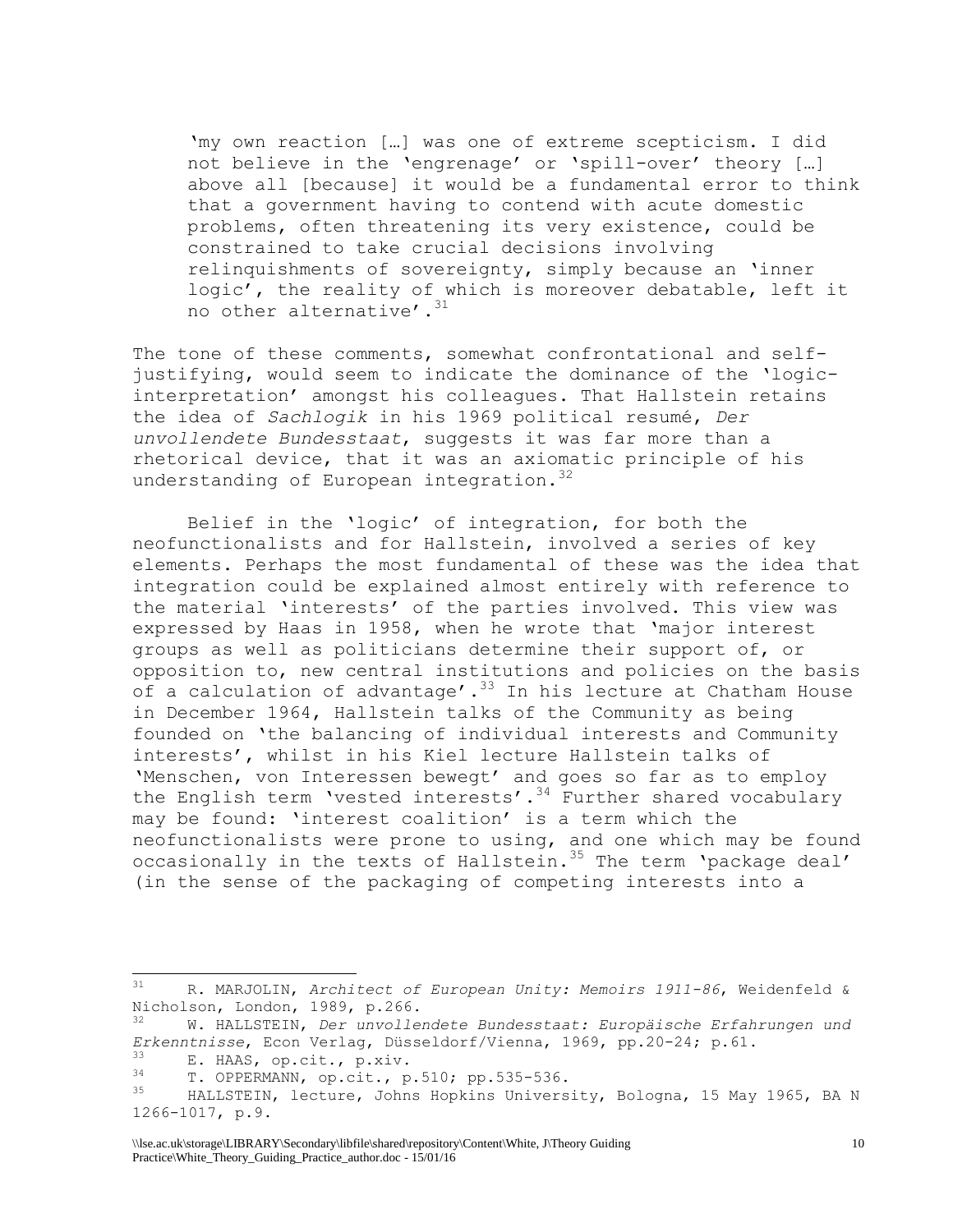'my own reaction […] was one of extreme scepticism. I did not believe in the 'engrenage' or 'spill-over' theory […] above all [because] it would be a fundamental error to think that a government having to contend with acute domestic problems, often threatening its very existence, could be constrained to take crucial decisions involving relinquishments of sovereignty, simply because an 'inner logic', the reality of which is moreover debatable, left it no other alternative'.<sup>31</sup>

The tone of these comments, somewhat confrontational and selfjustifying, would seem to indicate the dominance of the 'logicinterpretation' amongst his colleagues. That Hallstein retains the idea of *Sachlogik* in his 1969 political resumé, *Der unvollendete Bundesstaat*, suggests it was far more than a rhetorical device, that it was an axiomatic principle of his understanding of European integration.<sup>32</sup>

Belief in the 'logic' of integration, for both the neofunctionalists and for Hallstein, involved a series of key elements. Perhaps the most fundamental of these was the idea that integration could be explained almost entirely with reference to the material 'interests' of the parties involved. This view was expressed by Haas in 1958, when he wrote that 'major interest groups as well as politicians determine their support of, or opposition to, new central institutions and policies on the basis of a calculation of advantage'.<sup>33</sup> In his lecture at Chatham House in December 1964, Hallstein talks of the Community as being founded on 'the balancing of individual interests and Community interests', whilst in his Kiel lecture Hallstein talks of 'Menschen, von Interessen bewegt' and goes so far as to employ the English term 'vested interests'.<sup>34</sup> Further shared vocabulary may be found: 'interest coalition' is a term which the neofunctionalists were prone to using, and one which may be found occasionally in the texts of Hallstein.<sup>35</sup> The term 'package deal' (in the sense of the packaging of competing interests into a

<sup>31</sup> R. MARJOLIN, *Architect of European Unity: Memoirs 1911-86*, Weidenfeld & Nicholson, London, 1989, p.266.

<sup>32</sup> W. HALLSTEIN, *Der unvollendete Bundesstaat: Europäische Erfahrungen und Erkenntnisse*, Econ Verlag, Düsseldorf/Vienna, 1969, pp.20-24; p.61.

 $\frac{33}{14}$  E. HAAS, op.cit., p.xiv.

 $34$  T. OPPERMANN, op.cit., p.510; pp.535-536.

HALLSTEIN, lecture, Johns Hopkins University, Bologna, 15 May 1965, BA N 1266-1017, p.9.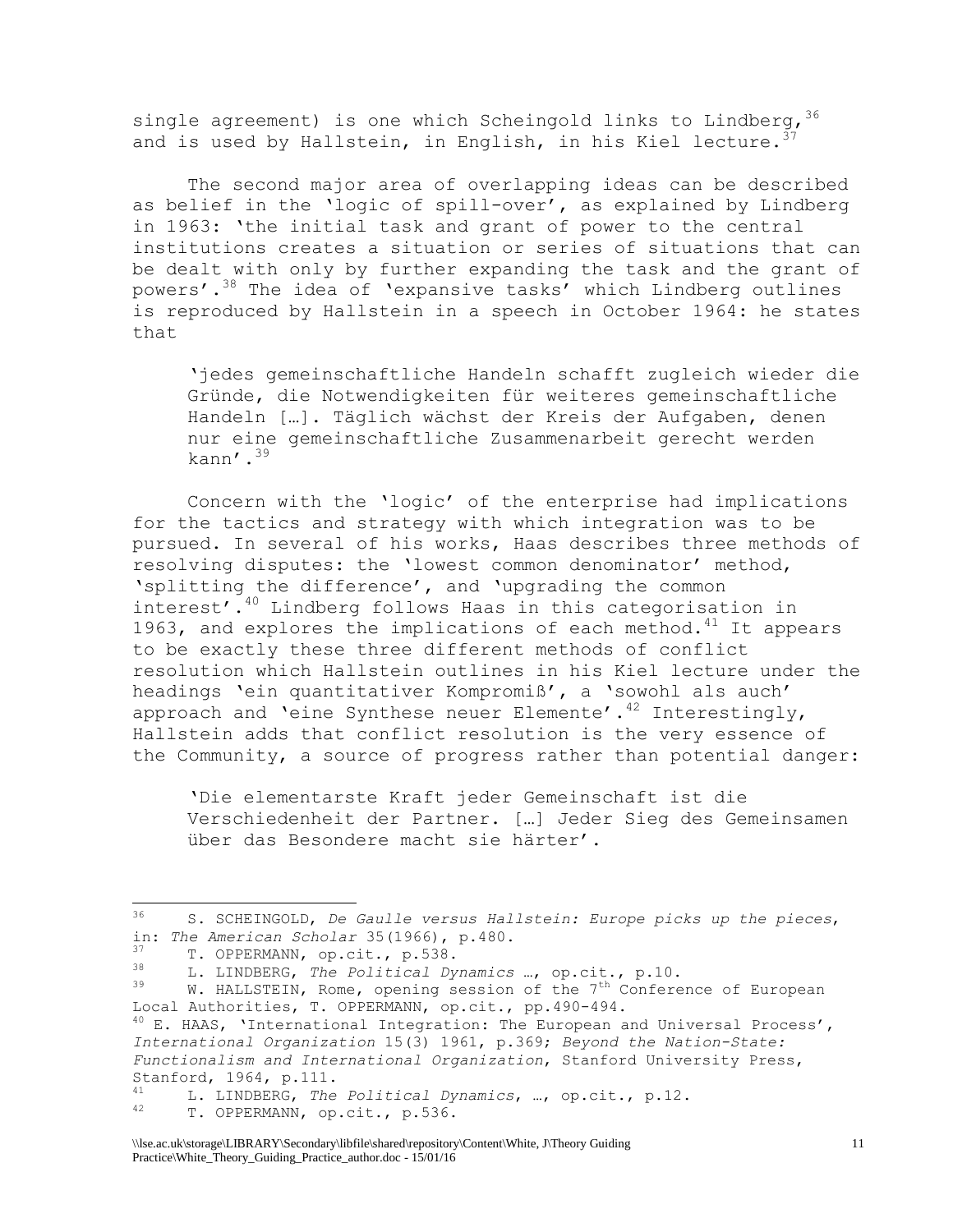single agreement) is one which Scheingold links to Lindberg,  $36$ and is used by Hallstein, in English, in his Kiel lecture.  $3^7$ 

The second major area of overlapping ideas can be described as belief in the 'logic of spill-over', as explained by Lindberg in 1963: 'the initial task and grant of power to the central institutions creates a situation or series of situations that can be dealt with only by further expanding the task and the grant of powers'.<sup>38</sup> The idea of 'expansive tasks' which Lindberg outlines is reproduced by Hallstein in a speech in October 1964: he states that

'jedes gemeinschaftliche Handeln schafft zugleich wieder die Gründe, die Notwendigkeiten für weiteres gemeinschaftliche Handeln […]. Täglich wächst der Kreis der Aufgaben, denen nur eine gemeinschaftliche Zusammenarbeit gerecht werden kann $^{\prime}$ .<sup>39</sup>

Concern with the 'logic' of the enterprise had implications for the tactics and strategy with which integration was to be pursued. In several of his works, Haas describes three methods of resolving disputes: the 'lowest common denominator' method, 'splitting the difference', and 'upgrading the common interest'.<sup>40</sup> Lindberg follows Haas in this categorisation in 1963, and explores the implications of each method.<sup>41</sup> It appears to be exactly these three different methods of conflict resolution which Hallstein outlines in his Kiel lecture under the headings 'ein quantitativer Kompromiß', a 'sowohl als auch' approach and 'eine Synthese neuer Elemente'.<sup>42</sup> Interestingly, Hallstein adds that conflict resolution is the very essence of the Community, a source of progress rather than potential danger:

'Die elementarste Kraft jeder Gemeinschaft ist die Verschiedenheit der Partner. […] Jeder Sieg des Gemeinsamen über das Besondere macht sie härter'.

 $36$ <sup>36</sup> S. SCHEINGOLD, *De Gaulle versus Hallstein: Europe picks up the pieces*, in: *The American Scholar* 35(1966), p.480.

 $T.$  OPPERMANN, op.cit., p.538.<br>38  $T.$  TIMPERS, The Palitical Pro

<sup>38</sup> L. LINDBERG, *The Political Dynamics* …, op.cit., p.10.

W. HALLSTEIN, Rome, opening session of the  $7<sup>th</sup>$  Conference of European Local Authorities, T. OPPERMANN, op.cit., pp.490-494.  $40$  E. HAAS, 'International Integration: The European and Universal Process', *International Organization* 15(3) 1961, p.369; *Beyond the Nation-State: Functionalism and International Organization*, Stanford University Press, Stanford, 1964, p.111.

<sup>41</sup> L. LINDBERG, *The Political Dynamics*, …, op.cit., p.12.

T. OPPERMANN, op.cit., p.536.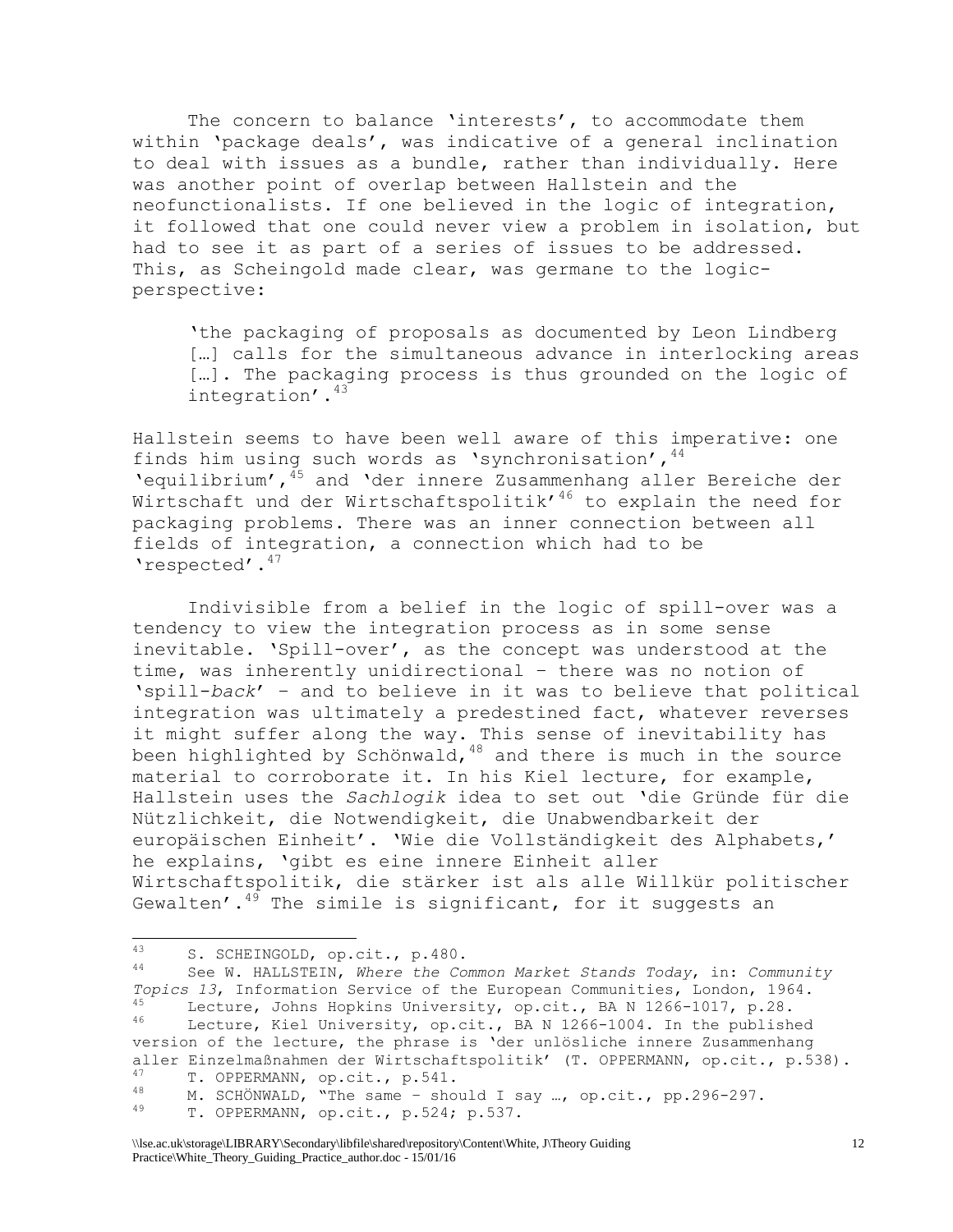The concern to balance 'interests', to accommodate them within 'package deals', was indicative of a general inclination to deal with issues as a bundle, rather than individually. Here was another point of overlap between Hallstein and the neofunctionalists. If one believed in the logic of integration, it followed that one could never view a problem in isolation, but had to see it as part of a series of issues to be addressed. This, as Scheingold made clear, was germane to the logicperspective:

'the packaging of proposals as documented by Leon Lindberg […] calls for the simultaneous advance in interlocking areas […]. The packaging process is thus grounded on the logic of integration'.<sup>43</sup>

Hallstein seems to have been well aware of this imperative: one finds him using such words as 'synchronisation',  $44$ 'equilibrium',<sup>45</sup> and 'der innere Zusammenhang aller Bereiche der Wirtschaft und der Wirtschaftspolitik'<sup>46</sup> to explain the need for packaging problems. There was an inner connection between all fields of integration, a connection which had to be 'respected'.<sup>47</sup>

Indivisible from a belief in the logic of spill-over was a tendency to view the integration process as in some sense inevitable. 'Spill-over', as the concept was understood at the time, was inherently unidirectional – there was no notion of 'spill-*back*' – and to believe in it was to believe that political integration was ultimately a predestined fact, whatever reverses it might suffer along the way. This sense of inevitability has been highlighted by Schönwald, $48$  and there is much in the source material to corroborate it. In his Kiel lecture, for example, Hallstein uses the *Sachlogik* idea to set out 'die Gründe für die Nützlichkeit, die Notwendigkeit, die Unabwendbarkeit der europäischen Einheit'. 'Wie die Vollständigkeit des Alphabets,' he explains, 'gibt es eine innere Einheit aller Wirtschaftspolitik, die stärker ist als alle Willkür politischer Gewalten'. $49$  The simile is significant, for it suggests an

<sup>43</sup> 43 S. SCHEINGOLD, op.cit., p.480.

<sup>44</sup> See W. HALLSTEIN, *Where the Common Market Stands Today*, in: *Community Topics 13*, Information Service of the European Communities, London, 1964.  $^{45}$  Lecture, Johns Hopkins University, op.cit., BA N 1266-1017, p.28. Lecture, Kiel University, op.cit., BA N 1266-1004. In the published version of the lecture, the phrase is 'der unlösliche innere Zusammenhang aller Einzelmaßnahmen der Wirtschaftspolitik' (T. OPPERMANN, op.cit., p.538). <sup>47</sup> T. OPPERMANN, op.cit., p.541.

<sup>&</sup>lt;sup>48</sup> M. SCHÖNWALD, "The same – should I say ..., op.cit., pp.296-297.

T. OPPERMANN, op.cit., p.524; p.537.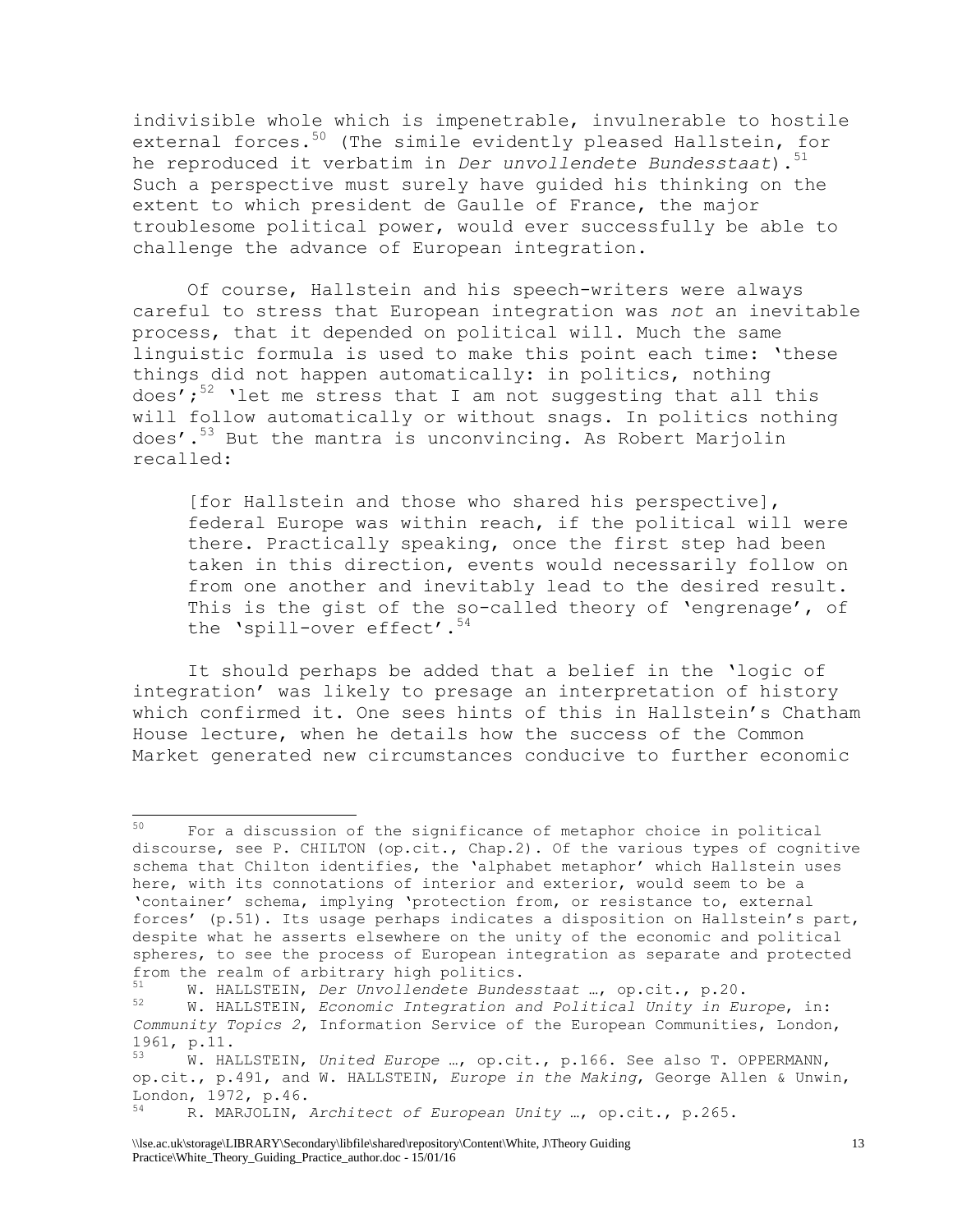indivisible whole which is impenetrable, invulnerable to hostile external forces.<sup>50</sup> (The simile evidently pleased Hallstein, for he reproduced it verbatim in *Der unvollendete Bundesstaat*).<sup>51</sup> Such a perspective must surely have guided his thinking on the extent to which president de Gaulle of France, the major troublesome political power, would ever successfully be able to challenge the advance of European integration.

Of course, Hallstein and his speech-writers were always careful to stress that European integration was *not* an inevitable process, that it depended on political will. Much the same linguistic formula is used to make this point each time: 'these things did not happen automatically: in politics, nothing does'; $52$  'let me stress that I am not suggesting that all this will follow automatically or without snags. In politics nothing does'.<sup>53</sup> But the mantra is unconvincing. As Robert Marjolin recalled:

[for Hallstein and those who shared his perspective], federal Europe was within reach, if the political will were there. Practically speaking, once the first step had been taken in this direction, events would necessarily follow on from one another and inevitably lead to the desired result. This is the gist of the so-called theory of 'engrenage', of the 'spill-over effect'.<sup>54</sup>

It should perhaps be added that a belief in the 'logic of integration' was likely to presage an interpretation of history which confirmed it. One sees hints of this in Hallstein's Chatham House lecture, when he details how the success of the Common Market generated new circumstances conducive to further economic

<sup>50</sup> <sup>50</sup> For a discussion of the significance of metaphor choice in political discourse, see P. CHILTON (op.cit., Chap.2). Of the various types of cognitive schema that Chilton identifies, the 'alphabet metaphor' which Hallstein uses here, with its connotations of interior and exterior, would seem to be a 'container' schema, implying 'protection from, or resistance to, external forces' (p.51). Its usage perhaps indicates a disposition on Hallstein's part, despite what he asserts elsewhere on the unity of the economic and political spheres, to see the process of European integration as separate and protected from the realm of arbitrary high politics.<br>51 W. Willowsky Day Havellandate Bunde

<sup>51</sup> W. HALLSTEIN, *Der Unvollendete Bundesstaat* …, op.cit., p.20. <sup>52</sup> W. HALLSTEIN, *Economic Integration and Political Unity in Europe*, in: *Community Topics 2*, Information Service of the European Communities, London,  $1961, p.11.$ 

<sup>53</sup> W. HALLSTEIN, *United Europe* …, op.cit., p.166. See also T. OPPERMANN, op.cit., p.491, and W. HALLSTEIN, *Europe in the Making*, George Allen & Unwin, London, 1972, p.46.

<sup>54</sup> R. MARJOLIN, *Architect of European Unity* …, op.cit., p.265.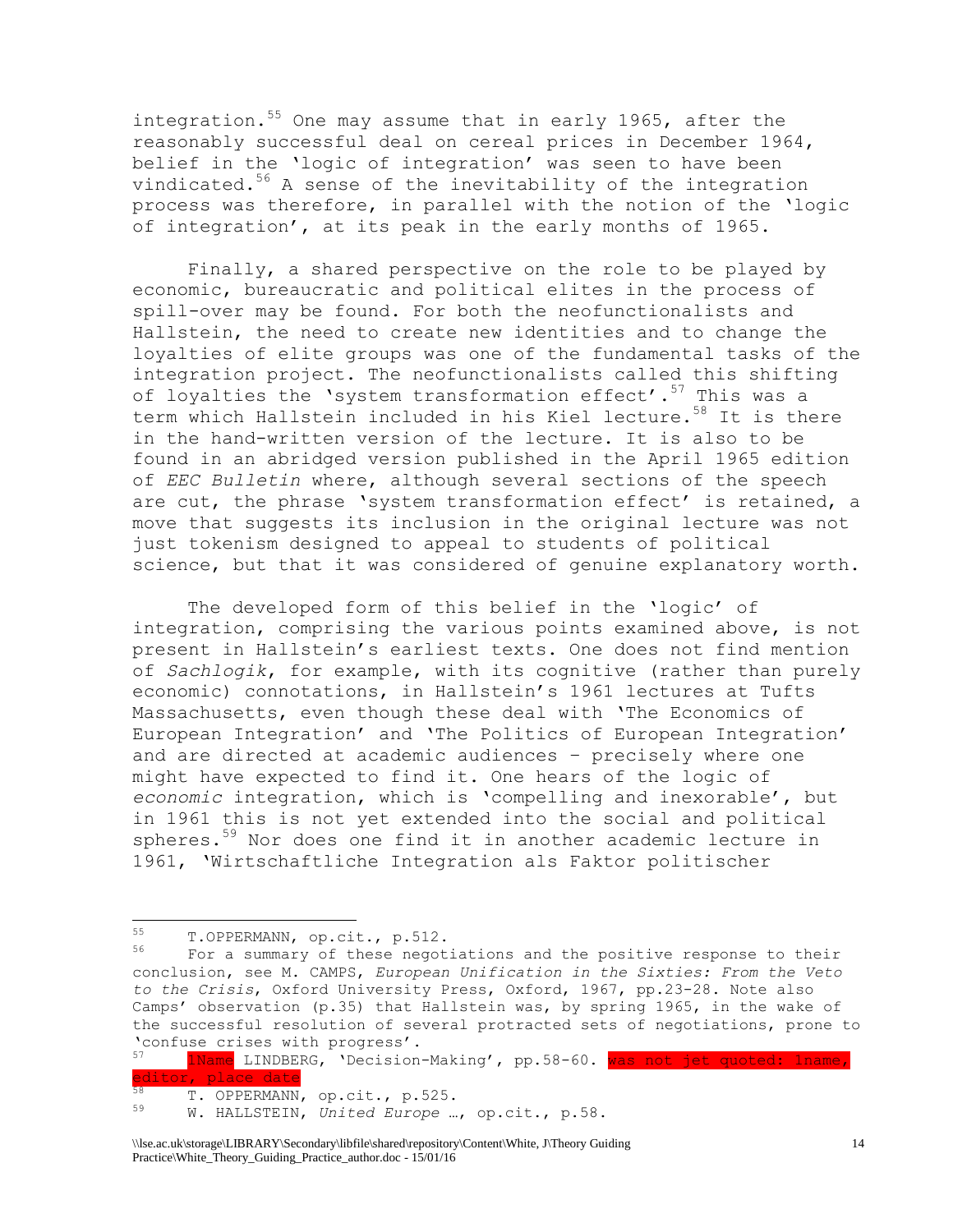integration.<sup>55</sup> One may assume that in early 1965, after the reasonably successful deal on cereal prices in December 1964, belief in the 'logic of integration' was seen to have been vindicated. $56$  A sense of the inevitability of the integration process was therefore, in parallel with the notion of the 'logic of integration', at its peak in the early months of 1965.

Finally, a shared perspective on the role to be played by economic, bureaucratic and political elites in the process of spill-over may be found. For both the neofunctionalists and Hallstein, the need to create new identities and to change the loyalties of elite groups was one of the fundamental tasks of the integration project. The neofunctionalists called this shifting of loyalties the 'system transformation effect'.<sup>57</sup> This was a term which Hallstein included in his Kiel lecture.<sup>58</sup> It is there in the hand-written version of the lecture. It is also to be found in an abridged version published in the April 1965 edition of *EEC Bulletin* where, although several sections of the speech are cut, the phrase 'system transformation effect' is retained, a move that suggests its inclusion in the original lecture was not just tokenism designed to appeal to students of political science, but that it was considered of genuine explanatory worth.

The developed form of this belief in the 'logic' of integration, comprising the various points examined above, is not present in Hallstein's earliest texts. One does not find mention of *Sachlogik*, for example, with its cognitive (rather than purely economic) connotations, in Hallstein's 1961 lectures at Tufts Massachusetts, even though these deal with 'The Economics of European Integration' and 'The Politics of European Integration' and are directed at academic audiences – precisely where one might have expected to find it. One hears of the logic of *economic* integration, which is 'compelling and inexorable', but in 1961 this is not yet extended into the social and political spheres.<sup>59</sup> Nor does one find it in another academic lecture in 1961, 'Wirtschaftliche Integration als Faktor politischer

<sup>55</sup>  $^{55}$  T.OPPERMANN, op.cit., p.512.<br> $^{56}$  For a summary of these negot

For a summary of these negotiations and the positive response to their conclusion, see M. CAMPS, *European Unification in the Sixties: From the Veto to the Crisis*, Oxford University Press, Oxford, 1967, pp.23-28. Note also Camps' observation (p.35) that Hallstein was, by spring 1965, in the wake of the successful resolution of several protracted sets of negotiations, prone to 'confuse crises with progress'.<br>57 **INAMO** IINDREC localion

<sup>1</sup>Name LINDBERG, 'Decision-Making', pp.58-60. was not jet quoted: 1name, editor, place date 58 T. OPPERMANN, op.cit., p.525.

<sup>59</sup> W. HALLSTEIN, *United Europe* …, op.cit., p.58.

<sup>\\</sup>lse.ac.uk\storage\LIBRARY\Secondary\libfile\shared\repository\Content\White, J\Theory Guiding Practice\White\_Theory\_Guiding\_Practice\_author.doc - 15/01/16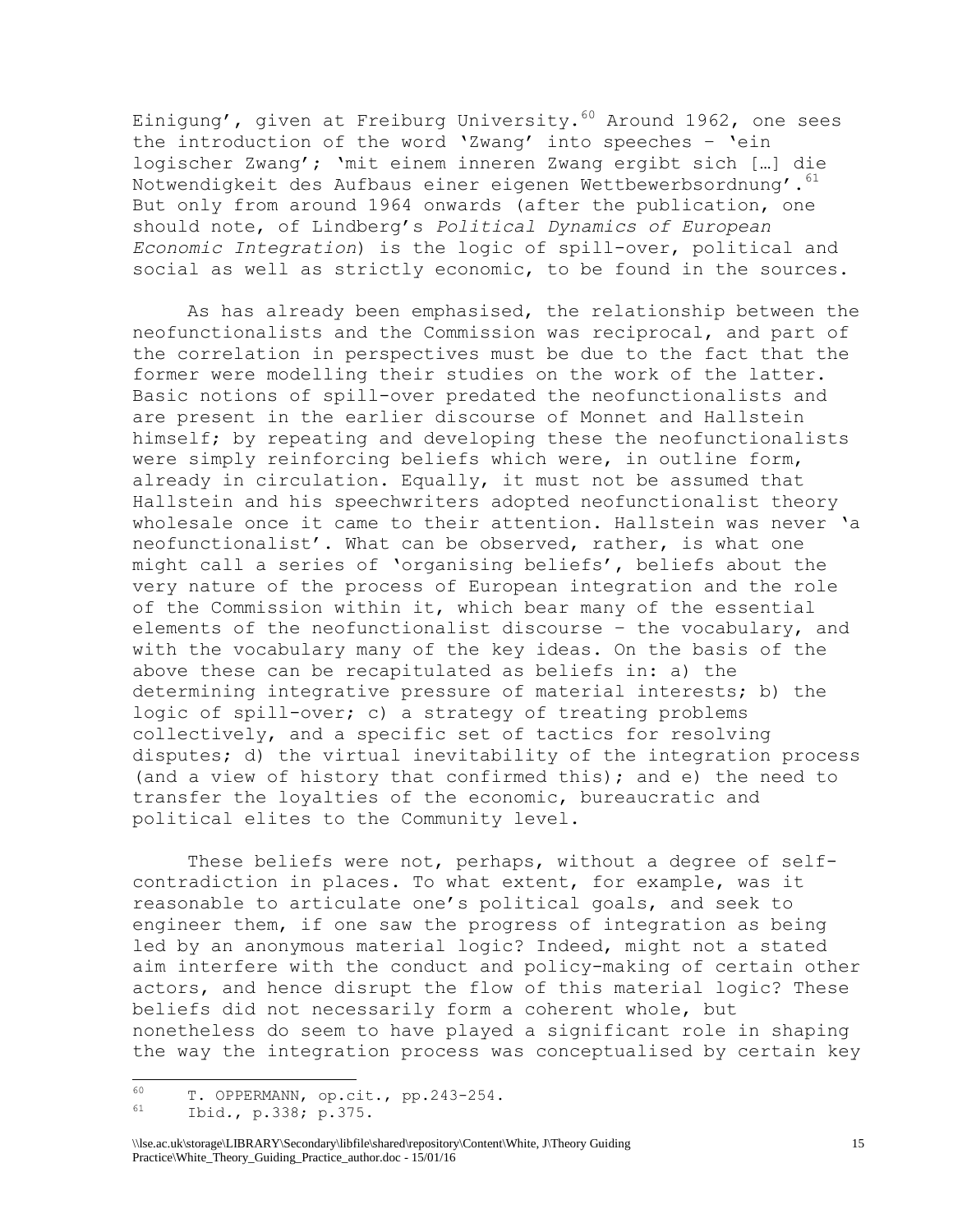Einigung', given at Freiburg University.  $60$  Around 1962, one sees the introduction of the word 'Zwang' into speeches – 'ein logischer Zwang'; 'mit einem inneren Zwang ergibt sich […] die Notwendigkeit des Aufbaus einer eigenen Wettbewerbsordnung'. 61 But only from around 1964 onwards (after the publication, one should note, of Lindberg's *Political Dynamics of European Economic Integration*) is the logic of spill-over, political and social as well as strictly economic, to be found in the sources.

As has already been emphasised, the relationship between the neofunctionalists and the Commission was reciprocal, and part of the correlation in perspectives must be due to the fact that the former were modelling their studies on the work of the latter. Basic notions of spill-over predated the neofunctionalists and are present in the earlier discourse of Monnet and Hallstein himself; by repeating and developing these the neofunctionalists were simply reinforcing beliefs which were, in outline form, already in circulation. Equally, it must not be assumed that Hallstein and his speechwriters adopted neofunctionalist theory wholesale once it came to their attention. Hallstein was never 'a neofunctionalist'. What can be observed, rather, is what one might call a series of 'organising beliefs', beliefs about the very nature of the process of European integration and the role of the Commission within it, which bear many of the essential elements of the neofunctionalist discourse – the vocabulary, and with the vocabulary many of the key ideas. On the basis of the above these can be recapitulated as beliefs in: a) the determining integrative pressure of material interests; b) the logic of spill-over; c) a strategy of treating problems collectively, and a specific set of tactics for resolving disputes; d) the virtual inevitability of the integration process (and a view of history that confirmed this); and e) the need to transfer the loyalties of the economic, bureaucratic and political elites to the Community level.

These beliefs were not, perhaps, without a degree of selfcontradiction in places. To what extent, for example, was it reasonable to articulate one's political goals, and seek to engineer them, if one saw the progress of integration as being led by an anonymous material logic? Indeed, might not a stated aim interfere with the conduct and policy-making of certain other actors, and hence disrupt the flow of this material logic? These beliefs did not necessarily form a coherent whole, but nonetheless do seem to have played a significant role in shaping the way the integration process was conceptualised by certain key

<sup>60</sup>  $^{60}$  T. OPPERMANN, op.cit., pp.243-254.

<sup>61</sup> Ibid*.*, p.338; p.375.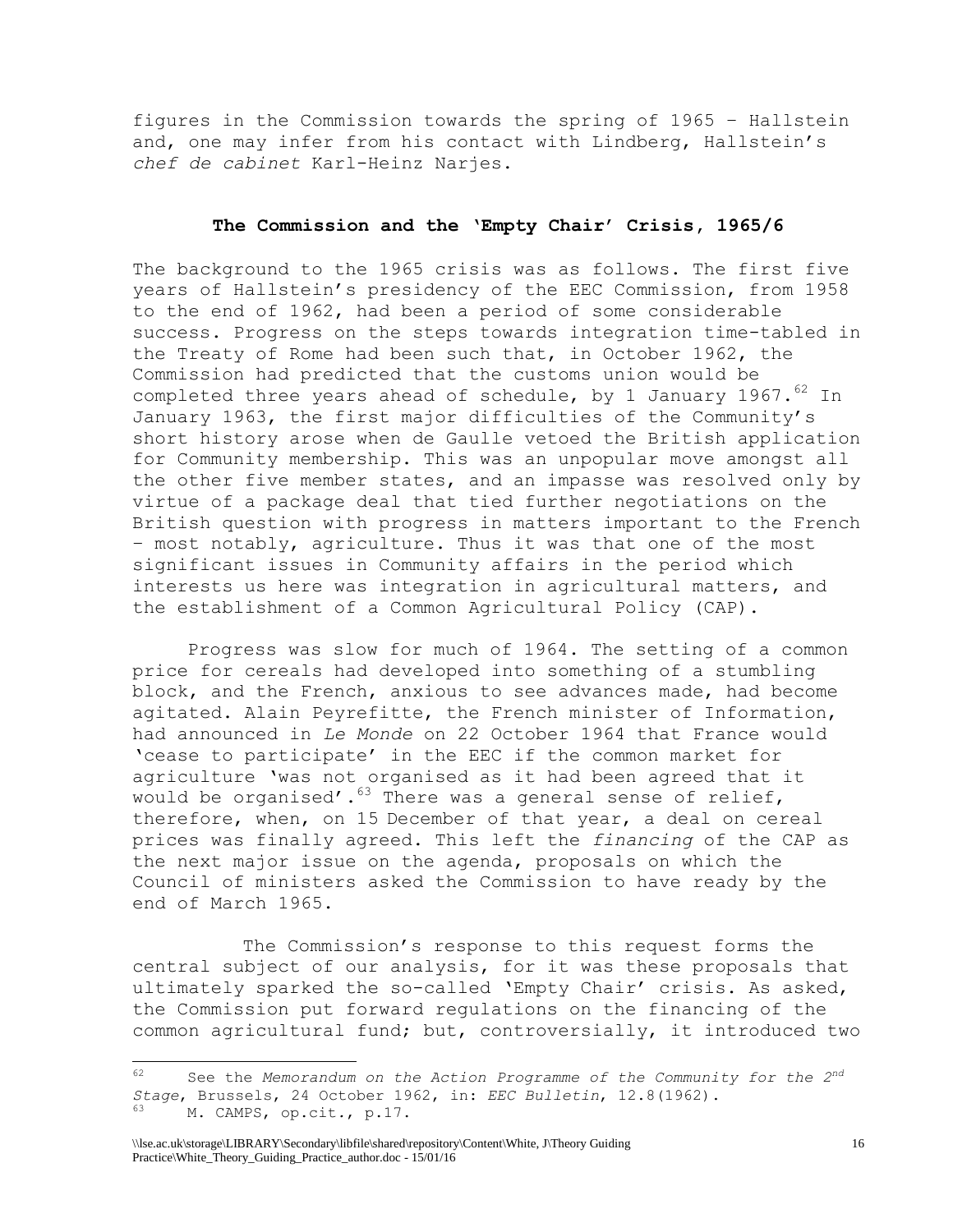figures in the Commission towards the spring of 1965 – Hallstein and, one may infer from his contact with Lindberg, Hallstein's *chef de cabinet* Karl-Heinz Narjes.

#### **The Commission and the 'Empty Chair' Crisis, 1965/6**

The background to the 1965 crisis was as follows. The first five years of Hallstein's presidency of the EEC Commission, from 1958 to the end of 1962, had been a period of some considerable success. Progress on the steps towards integration time-tabled in the Treaty of Rome had been such that, in October 1962, the Commission had predicted that the customs union would be completed three years ahead of schedule, by 1 January 1967. $^{62}$  In January 1963, the first major difficulties of the Community's short history arose when de Gaulle vetoed the British application for Community membership. This was an unpopular move amongst all the other five member states, and an impasse was resolved only by virtue of a package deal that tied further negotiations on the British question with progress in matters important to the French – most notably, agriculture. Thus it was that one of the most significant issues in Community affairs in the period which interests us here was integration in agricultural matters, and the establishment of a Common Agricultural Policy (CAP).

Progress was slow for much of 1964. The setting of a common price for cereals had developed into something of a stumbling block, and the French, anxious to see advances made, had become agitated. Alain Peyrefitte, the French minister of Information, had announced in *Le Monde* on 22 October 1964 that France would 'cease to participate' in the EEC if the common market for agriculture 'was not organised as it had been agreed that it would be organised'.<sup>63</sup> There was a general sense of relief, therefore, when, on 15 December of that year, a deal on cereal prices was finally agreed. This left the *financing* of the CAP as the next major issue on the agenda, proposals on which the Council of ministers asked the Commission to have ready by the end of March 1965.

The Commission's response to this request forms the central subject of our analysis, for it was these proposals that ultimately sparked the so-called 'Empty Chair' crisis. As asked, the Commission put forward regulations on the financing of the common agricultural fund; but, controversially, it introduced two

<sup>62</sup> <sup>62</sup> See the *Memorandum on the Action Programme of the Community for the 2nd Stage*, Brussels, 24 October 1962, in: *EEC Bulletin*, 12.8(1962). <sup>63</sup> M. CAMPS, op.cit*.*, p.17.

<sup>\\</sup>lse.ac.uk\storage\LIBRARY\Secondary\libfile\shared\repository\Content\White, J\Theory Guiding Practice\White\_Theory\_Guiding\_Practice\_author.doc - 15/01/16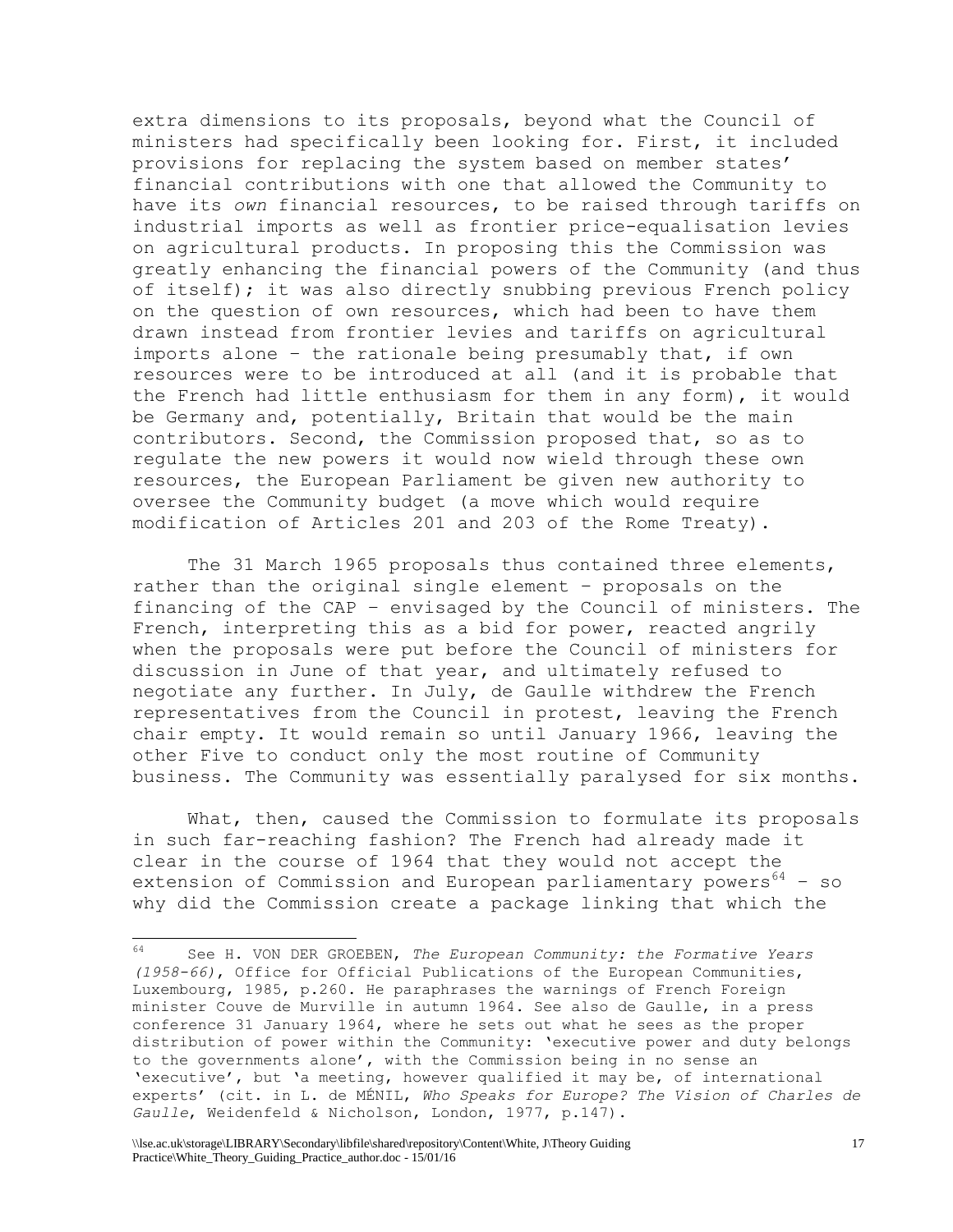extra dimensions to its proposals, beyond what the Council of ministers had specifically been looking for. First, it included provisions for replacing the system based on member states' financial contributions with one that allowed the Community to have its *own* financial resources, to be raised through tariffs on industrial imports as well as frontier price-equalisation levies on agricultural products. In proposing this the Commission was greatly enhancing the financial powers of the Community (and thus of itself); it was also directly snubbing previous French policy on the question of own resources, which had been to have them drawn instead from frontier levies and tariffs on agricultural imports alone – the rationale being presumably that, if own resources were to be introduced at all (and it is probable that the French had little enthusiasm for them in any form), it would be Germany and, potentially, Britain that would be the main contributors. Second, the Commission proposed that, so as to regulate the new powers it would now wield through these own resources, the European Parliament be given new authority to oversee the Community budget (a move which would require modification of Articles 201 and 203 of the Rome Treaty).

The 31 March 1965 proposals thus contained three elements, rather than the original single element – proposals on the financing of the CAP – envisaged by the Council of ministers. The French, interpreting this as a bid for power, reacted angrily when the proposals were put before the Council of ministers for discussion in June of that year, and ultimately refused to negotiate any further. In July, de Gaulle withdrew the French representatives from the Council in protest, leaving the French chair empty. It would remain so until January 1966, leaving the other Five to conduct only the most routine of Community business. The Community was essentially paralysed for six months.

What, then, caused the Commission to formulate its proposals in such far-reaching fashion? The French had already made it clear in the course of 1964 that they would not accept the extension of Commission and European parliamentary powers $64 - so$ why did the Commission create a package linking that which the

<sup>64</sup> <sup>64</sup> See H. VON DER GROEBEN, *The European Community: the Formative Years (1958-66)*, Office for Official Publications of the European Communities, Luxembourg, 1985, p.260. He paraphrases the warnings of French Foreign minister Couve de Murville in autumn 1964. See also de Gaulle, in a press conference 31 January 1964, where he sets out what he sees as the proper distribution of power within the Community: 'executive power and duty belongs to the governments alone', with the Commission being in no sense an 'executive', but 'a meeting, however qualified it may be, of international experts' (cit. in L. de MÉNIL, *Who Speaks for Europe? The Vision of Charles de Gaulle*, Weidenfeld & Nicholson, London, 1977, p.147).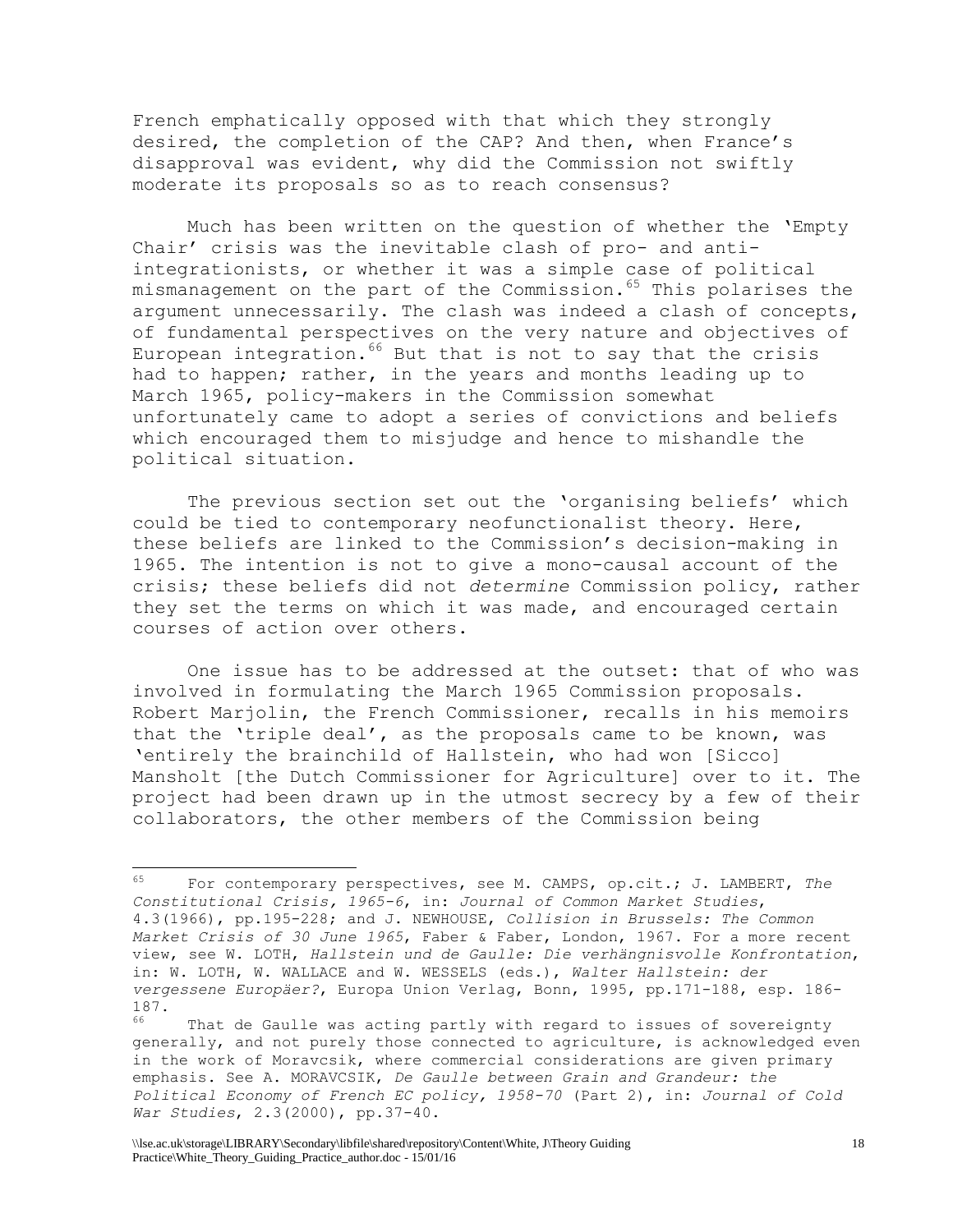French emphatically opposed with that which they strongly desired, the completion of the CAP? And then, when France's disapproval was evident, why did the Commission not swiftly moderate its proposals so as to reach consensus?

Much has been written on the question of whether the 'Empty Chair' crisis was the inevitable clash of pro- and antiintegrationists, or whether it was a simple case of political mismanagement on the part of the Commission.<sup>65</sup> This polarises the argument unnecessarily. The clash was indeed a clash of concepts, of fundamental perspectives on the very nature and objectives of European integration.<sup>66</sup> But that is not to say that the crisis had to happen; rather, in the years and months leading up to March 1965, policy-makers in the Commission somewhat unfortunately came to adopt a series of convictions and beliefs which encouraged them to misjudge and hence to mishandle the political situation.

The previous section set out the 'organising beliefs' which could be tied to contemporary neofunctionalist theory. Here, these beliefs are linked to the Commission's decision-making in 1965. The intention is not to give a mono-causal account of the crisis; these beliefs did not *determine* Commission policy, rather they set the terms on which it was made, and encouraged certain courses of action over others.

One issue has to be addressed at the outset: that of who was involved in formulating the March 1965 Commission proposals. Robert Marjolin, the French Commissioner, recalls in his memoirs that the 'triple deal', as the proposals came to be known, was 'entirely the brainchild of Hallstein, who had won [Sicco] Mansholt [the Dutch Commissioner for Agriculture] over to it. The project had been drawn up in the utmost secrecy by a few of their collaborators, the other members of the Commission being

 $65$ <sup>65</sup> For contemporary perspectives, see M. CAMPS, op.cit.; J. LAMBERT, *The Constitutional Crisis, 1965-6*, in: *Journal of Common Market Studies*, 4.3(1966), pp.195-228; and J. NEWHOUSE, *Collision in Brussels: The Common Market Crisis of 30 June 1965*, Faber & Faber, London, 1967. For a more recent view, see W. LOTH, *Hallstein und de Gaulle: Die verhängnisvolle Konfrontation*, in: W. LOTH, W. WALLACE and W. WESSELS (eds.), *Walter Hallstein: der vergessene Europäer?*, Europa Union Verlag, Bonn, 1995, pp.171-188, esp. 186- 187.

<sup>&</sup>lt;sup>66</sup> That de Gaulle was acting partly with regard to issues of sovereignty generally, and not purely those connected to agriculture, is acknowledged even in the work of Moravcsik, where commercial considerations are given primary emphasis. See A. MORAVCSIK, *De Gaulle between Grain and Grandeur: the Political Economy of French EC policy, 1958-70* (Part 2), in: *Journal of Cold War Studies*, 2.3(2000), pp.37-40.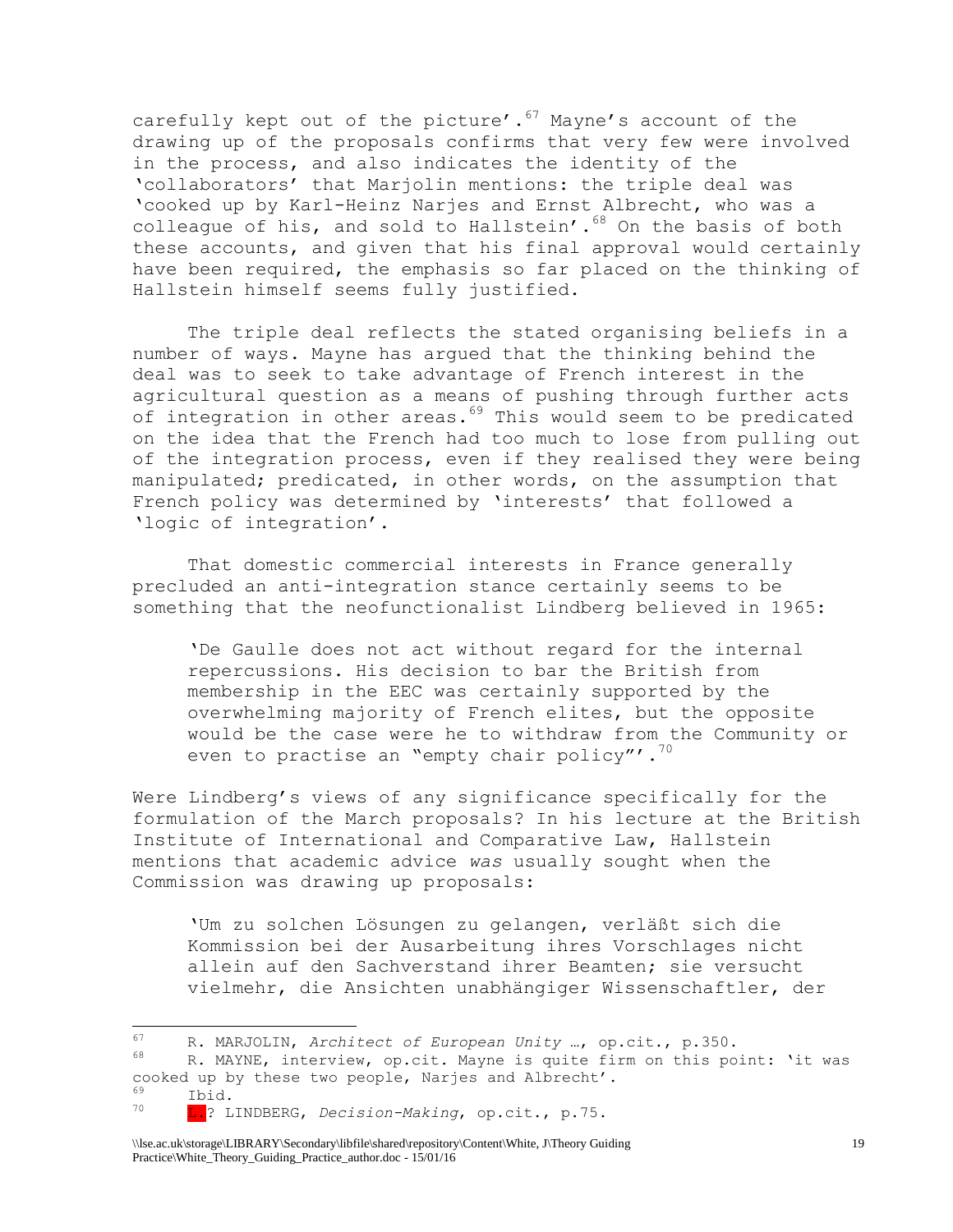carefully kept out of the picture'. $67$  Mayne's account of the drawing up of the proposals confirms that very few were involved in the process, and also indicates the identity of the 'collaborators' that Marjolin mentions: the triple deal was 'cooked up by Karl-Heinz Narjes and Ernst Albrecht, who was a colleague of his, and sold to Hallstein'.<sup>68</sup> On the basis of both these accounts, and given that his final approval would certainly have been required, the emphasis so far placed on the thinking of Hallstein himself seems fully justified.

The triple deal reflects the stated organising beliefs in a number of ways. Mayne has argued that the thinking behind the deal was to seek to take advantage of French interest in the agricultural question as a means of pushing through further acts of integration in other areas.<sup>69</sup> This would seem to be predicated on the idea that the French had too much to lose from pulling out of the integration process, even if they realised they were being manipulated; predicated, in other words, on the assumption that French policy was determined by 'interests' that followed a 'logic of integration'.

That domestic commercial interests in France generally precluded an anti-integration stance certainly seems to be something that the neofunctionalist Lindberg believed in 1965:

'De Gaulle does not act without regard for the internal repercussions. His decision to bar the British from membership in the EEC was certainly supported by the overwhelming majority of French elites, but the opposite would be the case were he to withdraw from the Community or even to practise an "empty chair policy"'. $70$ 

Were Lindberg's views of any significance specifically for the formulation of the March proposals? In his lecture at the British Institute of International and Comparative Law, Hallstein mentions that academic advice *was* usually sought when the Commission was drawing up proposals:

'Um zu solchen Lösungen zu gelangen, verläßt sich die Kommission bei der Ausarbeitung ihres Vorschlages nicht allein auf den Sachverstand ihrer Beamten; sie versucht vielmehr, die Ansichten unabhängiger Wissenschaftler, der

 $\frac{69}{100}$  Ibid.

<sup>67</sup> R. MARJOLIN, *Architect of European Unity* …, op.cit., p.350.

R. MAYNE, interview, op.cit. Mayne is quite firm on this point: 'it was cooked up by these two people, Narjes and Albrecht'.

<sup>70</sup> L.? LINDBERG, *Decision-Making*, op.cit., p.75.

<sup>\\</sup>lse.ac.uk\storage\LIBRARY\Secondary\libfile\shared\repository\Content\White, J\Theory Guiding Practice\White\_Theory\_Guiding\_Practice\_author.doc - 15/01/16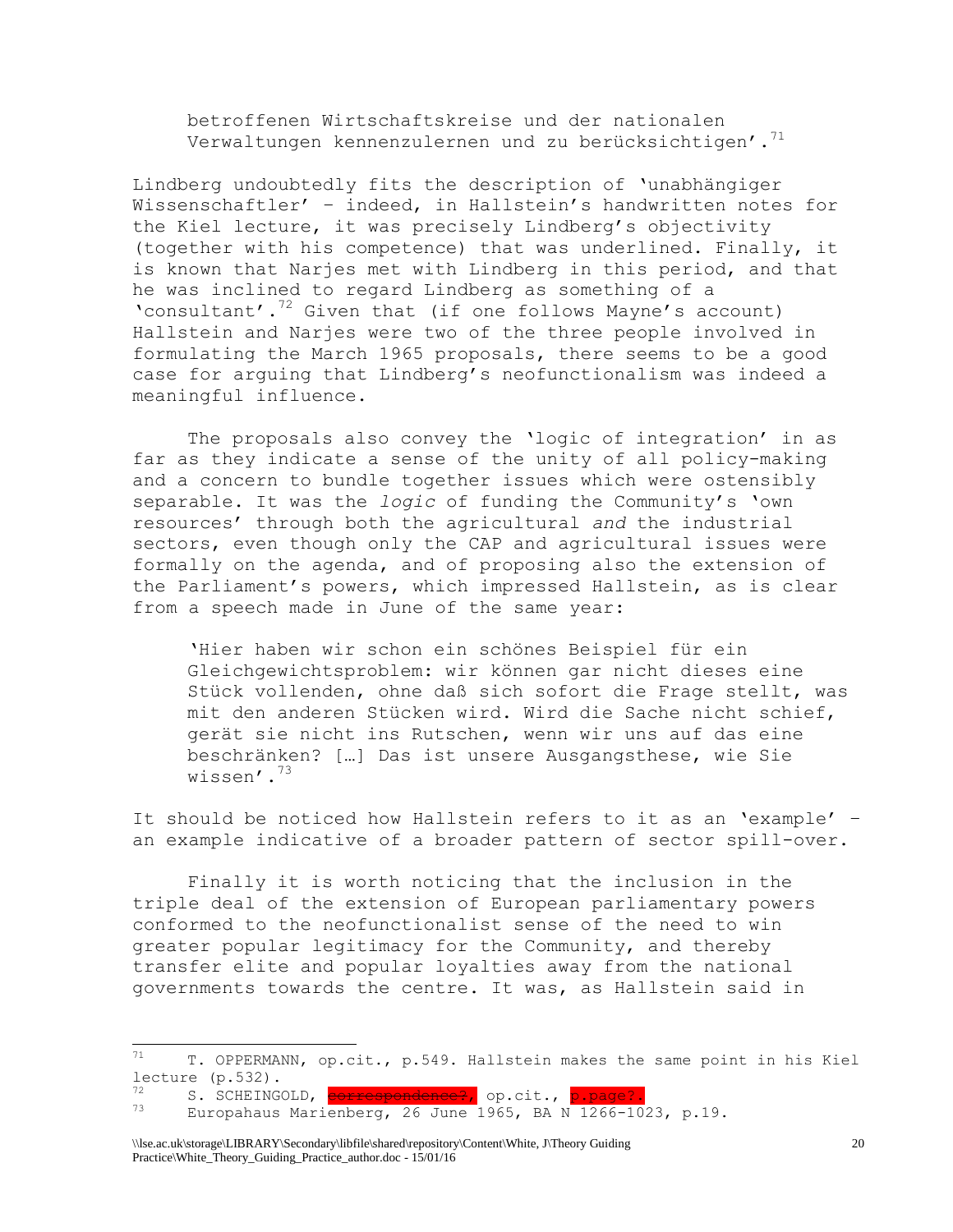betroffenen Wirtschaftskreise und der nationalen Verwaltungen kennenzulernen und zu berücksichtigen'.<sup>71</sup>

Lindberg undoubtedly fits the description of 'unabhängiger Wissenschaftler' – indeed, in Hallstein's handwritten notes for the Kiel lecture, it was precisely Lindberg's objectivity (together with his competence) that was underlined. Finally, it is known that Narjes met with Lindberg in this period, and that he was inclined to regard Lindberg as something of a 'consultant'. $72$  Given that (if one follows Mayne's account) Hallstein and Narjes were two of the three people involved in formulating the March 1965 proposals, there seems to be a good case for arguing that Lindberg's neofunctionalism was indeed a meaningful influence.

The proposals also convey the 'logic of integration' in as far as they indicate a sense of the unity of all policy-making and a concern to bundle together issues which were ostensibly separable. It was the *logic* of funding the Community's 'own resources' through both the agricultural *and* the industrial sectors, even though only the CAP and agricultural issues were formally on the agenda, and of proposing also the extension of the Parliament's powers, which impressed Hallstein, as is clear from a speech made in June of the same year:

'Hier haben wir schon ein schönes Beispiel für ein Gleichgewichtsproblem: wir können gar nicht dieses eine Stück vollenden, ohne daß sich sofort die Frage stellt, was mit den anderen Stücken wird. Wird die Sache nicht schief, gerät sie nicht ins Rutschen, wenn wir uns auf das eine beschränken? […] Das ist unsere Ausgangsthese, wie Sie wissen'.<sup>73</sup>

It should be noticed how Hallstein refers to it as an 'example' – an example indicative of a broader pattern of sector spill-over.

Finally it is worth noticing that the inclusion in the triple deal of the extension of European parliamentary powers conformed to the neofunctionalist sense of the need to win greater popular legitimacy for the Community, and thereby transfer elite and popular loyalties away from the national governments towards the centre. It was, as Hallstein said in

 $71$ <sup>71</sup> T. OPPERMANN, op.cit., p.549. Hallstein makes the same point in his Kiel lecture (p.532).

<sup>&</sup>lt;sup>72</sup> S. SCHEINGOLD, **correspondence?**, op.cit., <mark>p.page?.</mark><br><sup>73</sup> Eugensbeur Manierbaum 26 Iune 1965 PM N 1966-10

Europahaus Marienberg, 26 June 1965, BA N 1266-1023, p.19.

<sup>\\</sup>lse.ac.uk\storage\LIBRARY\Secondary\libfile\shared\repository\Content\White, J\Theory Guiding Practice\White\_Theory\_Guiding\_Practice\_author.doc - 15/01/16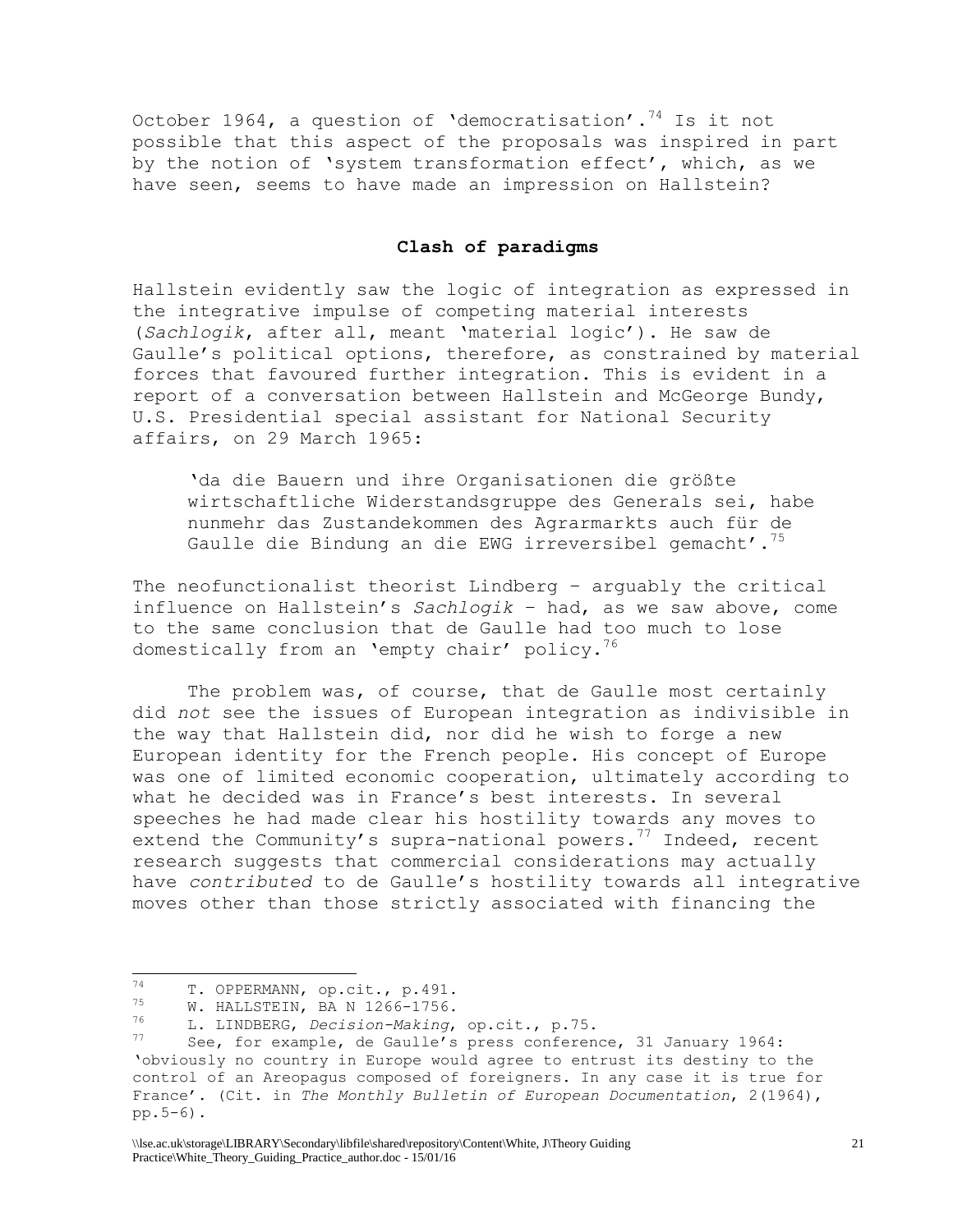October 1964, a question of 'democratisation'.<sup>74</sup> Is it not possible that this aspect of the proposals was inspired in part by the notion of 'system transformation effect', which, as we have seen, seems to have made an impression on Hallstein?

#### **Clash of paradigms**

Hallstein evidently saw the logic of integration as expressed in the integrative impulse of competing material interests (*Sachlogik*, after all, meant 'material logic'). He saw de Gaulle's political options, therefore, as constrained by material forces that favoured further integration. This is evident in a report of a conversation between Hallstein and McGeorge Bundy, U.S. Presidential special assistant for National Security affairs, on 29 March 1965:

'da die Bauern und ihre Organisationen die größte wirtschaftliche Widerstandsgruppe des Generals sei, habe nunmehr das Zustandekommen des Agrarmarkts auch für de Gaulle die Bindung an die EWG irreversibel gemacht'.<sup>75</sup>

The neofunctionalist theorist Lindberg – arguably the critical influence on Hallstein's *Sachlogik* – had, as we saw above, come to the same conclusion that de Gaulle had too much to lose domestically from an 'empty chair' policy.<sup>76</sup>

The problem was, of course, that de Gaulle most certainly did *not* see the issues of European integration as indivisible in the way that Hallstein did, nor did he wish to forge a new European identity for the French people. His concept of Europe was one of limited economic cooperation, ultimately according to what he decided was in France's best interests. In several speeches he had made clear his hostility towards any moves to extend the Community's supra-national powers.<sup>77</sup> Indeed, recent research suggests that commercial considerations may actually have *contributed* to de Gaulle's hostility towards all integrative moves other than those strictly associated with financing the

<sup>74</sup>  $T^4$  T. OPPERMANN, op.cit., p.491.

 $\frac{75}{76}$  W. HALLSTEIN, BA N 1266-1756.

<sup>76</sup> L. LINDBERG, *Decision-Making*, op.cit., p.75.

See, for example, de Gaulle's press conference, 31 January 1964: 'obviously no country in Europe would agree to entrust its destiny to the control of an Areopagus composed of foreigners. In any case it is true for France'. (Cit. in *The Monthly Bulletin of European Documentation*, 2(1964), pp.5-6).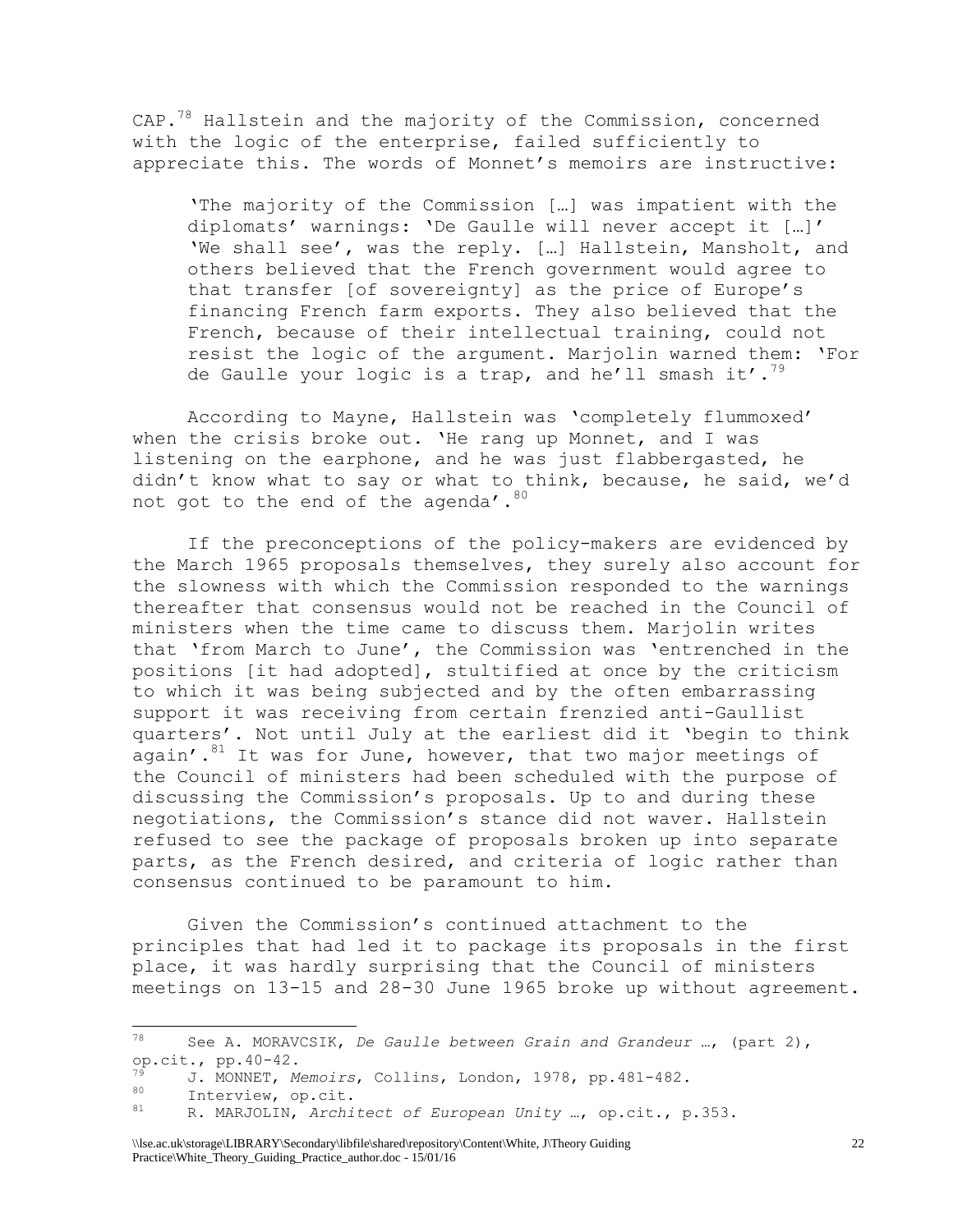$CAP.^{78}$  Hallstein and the majority of the Commission, concerned with the logic of the enterprise, failed sufficiently to appreciate this. The words of Monnet's memoirs are instructive:

'The majority of the Commission […] was impatient with the diplomats' warnings: 'De Gaulle will never accept it […]' 'We shall see', was the reply. […] Hallstein, Mansholt, and others believed that the French government would agree to that transfer [of sovereignty] as the price of Europe's financing French farm exports. They also believed that the French, because of their intellectual training, could not resist the logic of the argument. Marjolin warned them: 'For de Gaulle your logic is a trap, and he'll smash it'.<sup>79</sup>

According to Mayne, Hallstein was 'completely flummoxed' when the crisis broke out. 'He rang up Monnet, and I was listening on the earphone, and he was just flabbergasted, he didn't know what to say or what to think, because, he said, we'd not got to the end of the agenda'. 80

If the preconceptions of the policy-makers are evidenced by the March 1965 proposals themselves, they surely also account for the slowness with which the Commission responded to the warnings thereafter that consensus would not be reached in the Council of ministers when the time came to discuss them. Marjolin writes that 'from March to June', the Commission was 'entrenched in the positions [it had adopted], stultified at once by the criticism to which it was being subjected and by the often embarrassing support it was receiving from certain frenzied anti-Gaullist quarters'. Not until July at the earliest did it 'begin to think again'. $81$  It was for June, however, that two major meetings of the Council of ministers had been scheduled with the purpose of discussing the Commission's proposals. Up to and during these negotiations, the Commission's stance did not waver. Hallstein refused to see the package of proposals broken up into separate parts, as the French desired, and criteria of logic rather than consensus continued to be paramount to him.

Given the Commission's continued attachment to the principles that had led it to package its proposals in the first place, it was hardly surprising that the Council of ministers meetings on 13-15 and 28-30 June 1965 broke up without agreement.

<sup>78</sup> <sup>78</sup> See A. MORAVCSIK, *De Gaulle between Grain and Grandeur* …, (part 2), op.cit., pp.40-42.

<sup>79</sup> J. MONNET, *Memoirs*, Collins, London, 1978, pp.481-482.

 $\begin{array}{cc}\n\frac{80}{10} & \text{Interview, op. cit.} \\
\frac{81}{100} & \text{NeportIN} & \frac{3}{100} \text{h} \\
\end{array}$ 

<sup>81</sup> R. MARJOLIN, *Architect of European Unity* …, op.cit., p.353.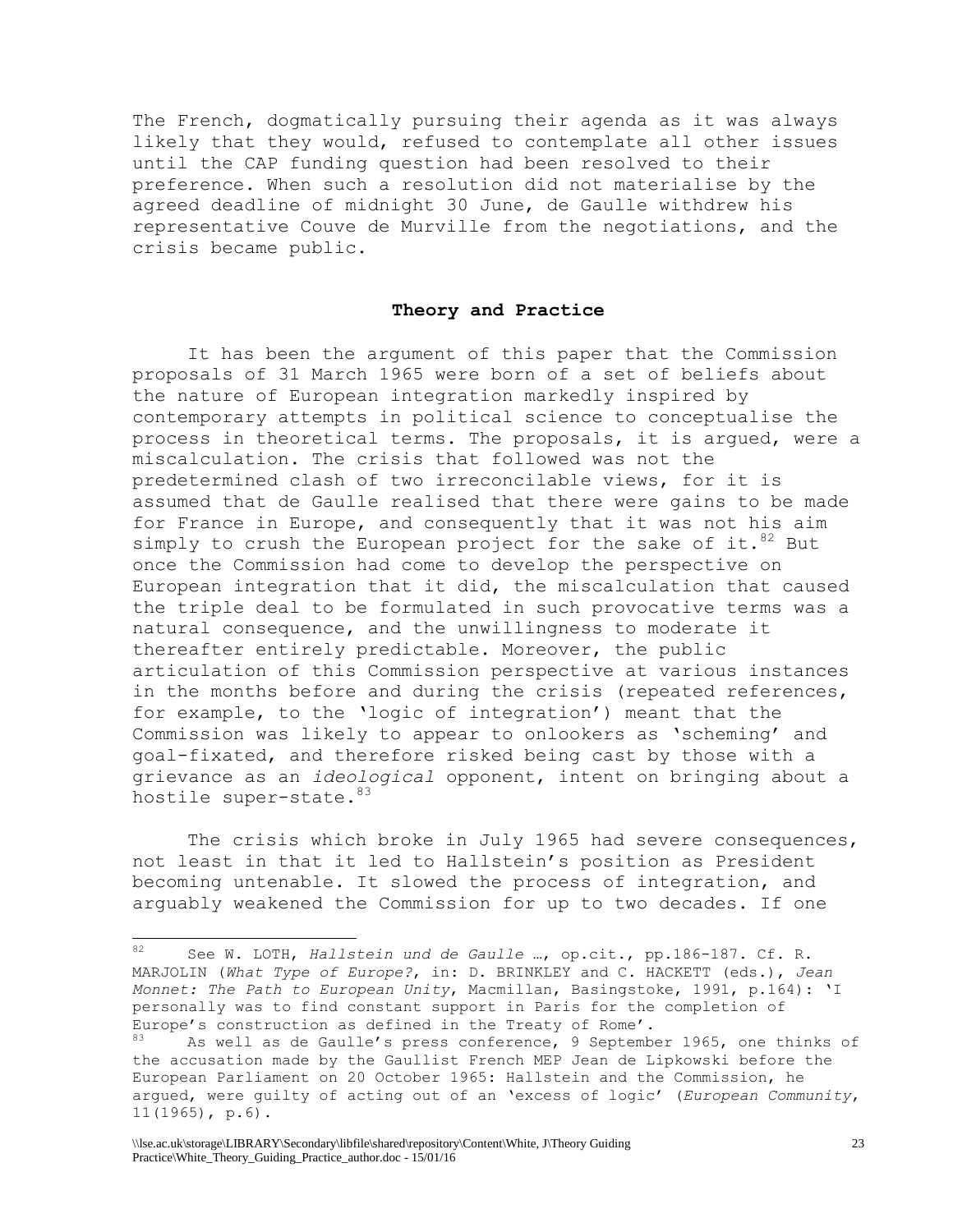The French, dogmatically pursuing their agenda as it was always likely that they would, refused to contemplate all other issues until the CAP funding question had been resolved to their preference. When such a resolution did not materialise by the agreed deadline of midnight 30 June, de Gaulle withdrew his representative Couve de Murville from the negotiations, and the crisis became public.

#### **Theory and Practice**

It has been the argument of this paper that the Commission proposals of 31 March 1965 were born of a set of beliefs about the nature of European integration markedly inspired by contemporary attempts in political science to conceptualise the process in theoretical terms. The proposals, it is argued, were a miscalculation. The crisis that followed was not the predetermined clash of two irreconcilable views, for it is assumed that de Gaulle realised that there were gains to be made for France in Europe, and consequently that it was not his aim simply to crush the European project for the sake of it.  $82$  But once the Commission had come to develop the perspective on European integration that it did, the miscalculation that caused the triple deal to be formulated in such provocative terms was a natural consequence, and the unwillingness to moderate it thereafter entirely predictable. Moreover, the public articulation of this Commission perspective at various instances in the months before and during the crisis (repeated references, for example, to the 'logic of integration') meant that the Commission was likely to appear to onlookers as 'scheming' and goal-fixated, and therefore risked being cast by those with a grievance as an *ideological* opponent, intent on bringing about a hostile super-state. 83

The crisis which broke in July 1965 had severe consequences, not least in that it led to Hallstein's position as President becoming untenable. It slowed the process of integration, and arguably weakened the Commission for up to two decades. If one

<sup>82</sup> <sup>82</sup> See W. LOTH, *Hallstein und de Gaulle* …, op.cit., pp.186-187. Cf. R. MARJOLIN (*What Type of Europe?*, in: D. BRINKLEY and C. HACKETT (eds.), *Jean Monnet: The Path to European Unity*, Macmillan, Basingstoke, 1991, p.164): 'I personally was to find constant support in Paris for the completion of Europe's construction as defined in the Treaty of Rome'.

As well as de Gaulle's press conference, 9 September 1965, one thinks of the accusation made by the Gaullist French MEP Jean de Lipkowski before the European Parliament on 20 October 1965: Hallstein and the Commission, he argued, were guilty of acting out of an 'excess of logic' (*European Community*, 11(1965), p.6).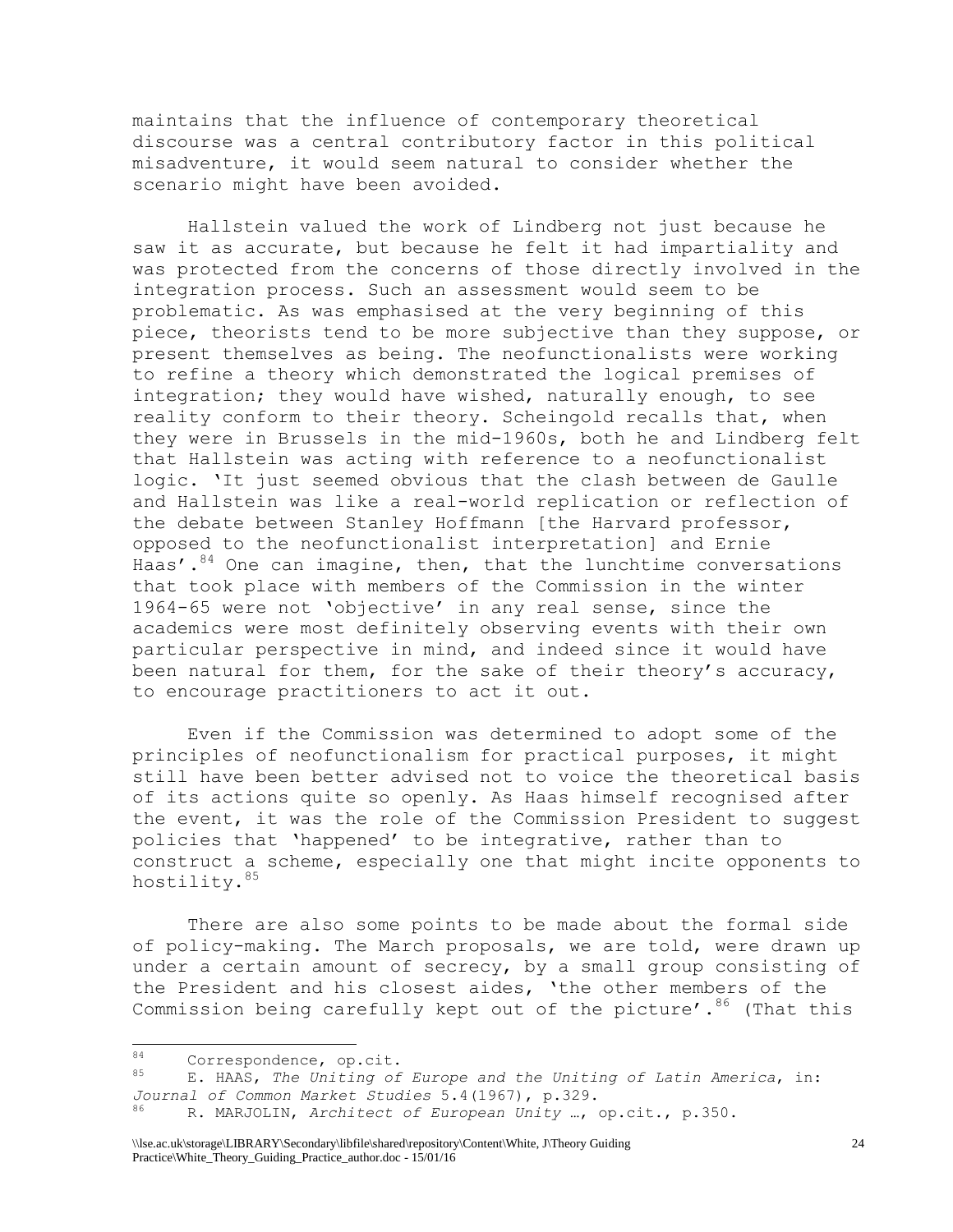maintains that the influence of contemporary theoretical discourse was a central contributory factor in this political misadventure, it would seem natural to consider whether the scenario might have been avoided.

Hallstein valued the work of Lindberg not just because he saw it as accurate, but because he felt it had impartiality and was protected from the concerns of those directly involved in the integration process. Such an assessment would seem to be problematic. As was emphasised at the very beginning of this piece, theorists tend to be more subjective than they suppose, or present themselves as being. The neofunctionalists were working to refine a theory which demonstrated the logical premises of integration; they would have wished, naturally enough, to see reality conform to their theory. Scheingold recalls that, when they were in Brussels in the mid-1960s, both he and Lindberg felt that Hallstein was acting with reference to a neofunctionalist logic. 'It just seemed obvious that the clash between de Gaulle and Hallstein was like a real-world replication or reflection of the debate between Stanley Hoffmann [the Harvard professor, opposed to the neofunctionalist interpretation] and Ernie Haas'. $84$  One can imagine, then, that the lunchtime conversations that took place with members of the Commission in the winter 1964-65 were not 'objective' in any real sense, since the academics were most definitely observing events with their own particular perspective in mind, and indeed since it would have been natural for them, for the sake of their theory's accuracy, to encourage practitioners to act it out.

Even if the Commission was determined to adopt some of the principles of neofunctionalism for practical purposes, it might still have been better advised not to voice the theoretical basis of its actions quite so openly. As Haas himself recognised after the event, it was the role of the Commission President to suggest policies that 'happened' to be integrative, rather than to construct a scheme, especially one that might incite opponents to hostility. 85

There are also some points to be made about the formal side of policy-making. The March proposals, we are told, were drawn up under a certain amount of secrecy, by a small group consisting of the President and his closest aides, 'the other members of the Commission being carefully kept out of the picture'.  $86$  (That this

<sup>84</sup>  $^{84}$  Correspondence, op.cit.<br> $^{85}$  E UAAS The Unitiag of

<sup>85</sup> E. HAAS, *The Uniting of Europe and the Uniting of Latin America*, in: *Journal of Common Market Studies* 5.4(1967), p.329.

<sup>86</sup> R. MARJOLIN, *Architect of European Unity* …, op.cit., p.350.

<sup>\\</sup>lse.ac.uk\storage\LIBRARY\Secondary\libfile\shared\repository\Content\White, J\Theory Guiding Practice\White\_Theory\_Guiding\_Practice\_author.doc - 15/01/16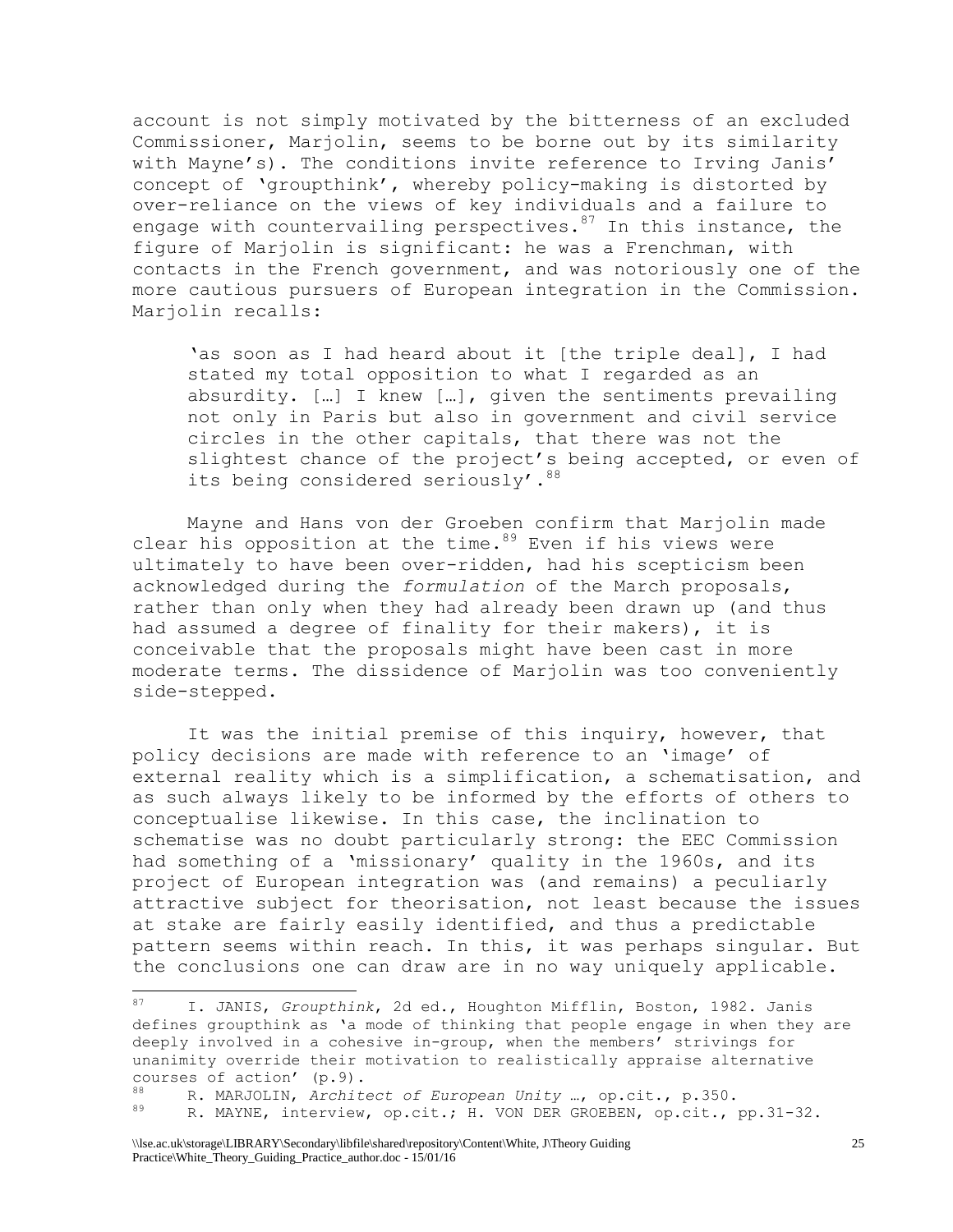account is not simply motivated by the bitterness of an excluded Commissioner, Marjolin, seems to be borne out by its similarity with Mayne's). The conditions invite reference to Irving Janis' concept of 'groupthink', whereby policy-making is distorted by over-reliance on the views of key individuals and a failure to engage with countervailing perspectives.  $87$  In this instance, the figure of Marjolin is significant: he was a Frenchman, with contacts in the French government, and was notoriously one of the more cautious pursuers of European integration in the Commission. Marjolin recalls:

'as soon as I had heard about it [the triple deal], I had stated my total opposition to what I regarded as an absurdity. […] I knew […], given the sentiments prevailing not only in Paris but also in government and civil service circles in the other capitals, that there was not the slightest chance of the project's being accepted, or even of its being considered seriously'. 88

Mayne and Hans von der Groeben confirm that Marjolin made clear his opposition at the time.  $89$  Even if his views were ultimately to have been over-ridden, had his scepticism been acknowledged during the *formulation* of the March proposals, rather than only when they had already been drawn up (and thus had assumed a degree of finality for their makers), it is conceivable that the proposals might have been cast in more moderate terms. The dissidence of Marjolin was too conveniently side-stepped.

It was the initial premise of this inquiry, however, that policy decisions are made with reference to an 'image' of external reality which is a simplification, a schematisation, and as such always likely to be informed by the efforts of others to conceptualise likewise. In this case, the inclination to schematise was no doubt particularly strong: the EEC Commission had something of a 'missionary' quality in the 1960s, and its project of European integration was (and remains) a peculiarly attractive subject for theorisation, not least because the issues at stake are fairly easily identified, and thus a predictable pattern seems within reach. In this, it was perhaps singular. But the conclusions one can draw are in no way uniquely applicable.

<sup>87</sup> I. JANIS, *Groupthink*, 2d ed., Houghton Mifflin, Boston, 1982. Janis defines groupthink as 'a mode of thinking that people engage in when they are deeply involved in a cohesive in-group, when the members' strivings for unanimity override their motivation to realistically appraise alternative courses of action' (p.9).

<sup>88</sup> R. MARJOLIN, *Architect of European Unity* …, op.cit., p.350.

R. MAYNE, interview, op.cit.; H. VON DER GROEBEN, op.cit., pp.31-32.